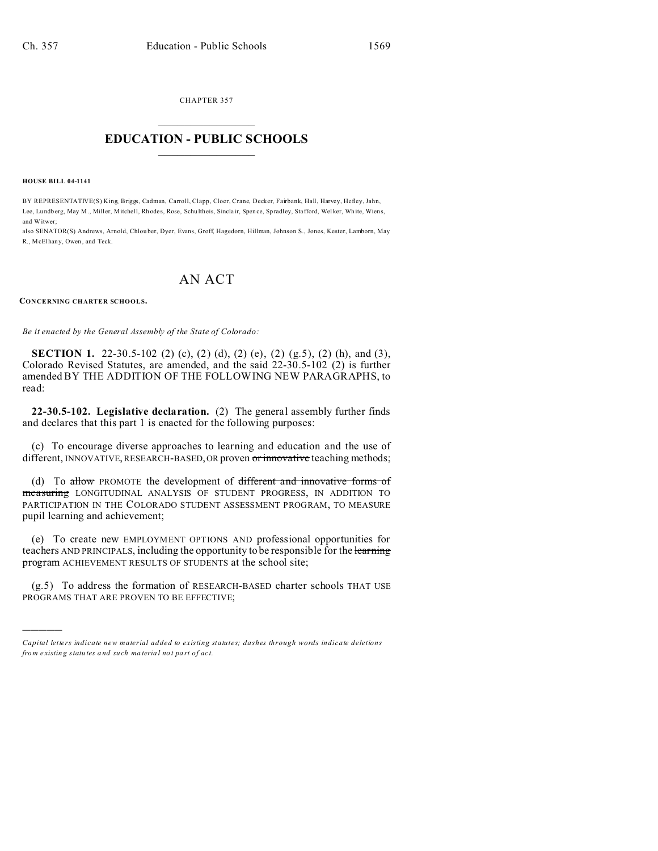CHAPTER 357  $\overline{\phantom{a}}$  , where  $\overline{\phantom{a}}$ 

## **EDUCATION - PUBLIC SCHOOLS**  $\_$   $\_$   $\_$   $\_$   $\_$   $\_$   $\_$   $\_$   $\_$

**HOUSE BILL 04-1141**

)))))

BY REPRESENTATIVE(S) King, Briggs, Cadman, Carroll, Clapp, Cloer, Crane, Decker, Fairbank, Hall, Harvey, Hefley, Jahn, Lee, Lundberg, May M., Miller, Mitchell, Rhodes, Rose, Schu ltheis, Sinclair, Spence, Spradley, Stafford, Welker, White, Wiens, and Witwer;

also SENATOR(S) Andrews, Arnold, Chlou ber, Dyer, Evans, Groff, Hagedorn, Hillman, Johnson S., Jones, Kester, Lamborn, May R., McElhany, Owen, and Teck.

# AN ACT

**CONCERNING CHARTER SCHOOLS.**

*Be it enacted by the General Assembly of the State of Colorado:*

**SECTION 1.** 22-30.5-102 (2) (c), (2) (d), (2) (e), (2) (g.5), (2) (h), and (3), Colorado Revised Statutes, are amended, and the said 22-30.5-102 (2) is further amended BY THE ADDITION OF THE FOLLOWING NEW PARAGRAPHS, to read:

**22-30.5-102. Legislative declaration.** (2) The general assembly further finds and declares that this part 1 is enacted for the following purposes:

(c) To encourage diverse approaches to learning and education and the use of different, INNOVATIVE, RESEARCH-BASED, OR proven or innovative teaching methods;

(d) To allow PROMOTE the development of different and innovative forms of measuring LONGITUDINAL ANALYSIS OF STUDENT PROGRESS, IN ADDITION TO PARTICIPATION IN THE COLORADO STUDENT ASSESSMENT PROGRAM, TO MEASURE pupil learning and achievement;

(e) To create new EMPLOYMENT OPTIONS AND professional opportunities for teachers AND PRINCIPALS, including the opportunity to be responsible for the learning program ACHIEVEMENT RESULTS OF STUDENTS at the school site;

(g.5) To address the formation of RESEARCH-BASED charter schools THAT USE PROGRAMS THAT ARE PROVEN TO BE EFFECTIVE;

*Capital letters indicate new material added to existing statutes; dashes through words indicate deletions from e xistin g statu tes a nd such ma teria l no t pa rt of ac t.*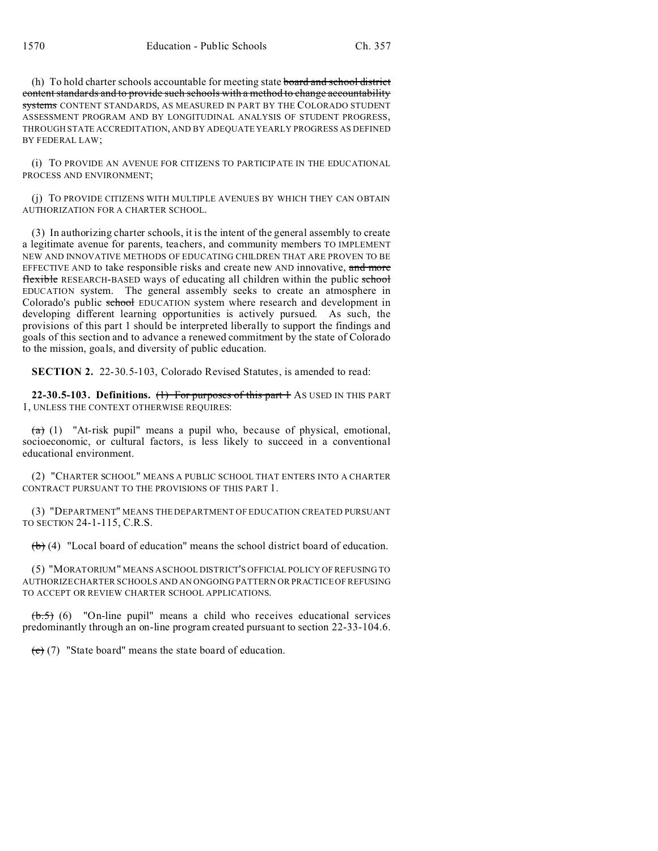(h) To hold charter schools accountable for meeting state board and school district content standards and to provide such schools with a method to change accountability systems CONTENT STANDARDS, AS MEASURED IN PART BY THE COLORADO STUDENT ASSESSMENT PROGRAM AND BY LONGITUDINAL ANALYSIS OF STUDENT PROGRESS, THROUGH STATE ACCREDITATION, AND BY ADEQUATE YEARLY PROGRESS AS DEFINED BY FEDERAL LAW;

(i) TO PROVIDE AN AVENUE FOR CITIZENS TO PARTICIPATE IN THE EDUCATIONAL PROCESS AND ENVIRONMENT;

(j) TO PROVIDE CITIZENS WITH MULTIPLE AVENUES BY WHICH THEY CAN OBTAIN AUTHORIZATION FOR A CHARTER SCHOOL.

(3) In authorizing charter schools, it is the intent of the general assembly to create a legitimate avenue for parents, teachers, and community members TO IMPLEMENT NEW AND INNOVATIVE METHODS OF EDUCATING CHILDREN THAT ARE PROVEN TO BE EFFECTIVE AND to take responsible risks and create new AND innovative, and more flexible RESEARCH-BASED ways of educating all children within the public school EDUCATION system. The general assembly seeks to create an atmosphere in Colorado's public school EDUCATION system where research and development in developing different learning opportunities is actively pursued. As such, the provisions of this part 1 should be interpreted liberally to support the findings and goals of this section and to advance a renewed commitment by the state of Colorado to the mission, goals, and diversity of public education.

**SECTION 2.** 22-30.5-103, Colorado Revised Statutes, is amended to read:

22-30.5-103. Definitions. (1) For purposes of this part 1 AS USED IN THIS PART 1, UNLESS THE CONTEXT OTHERWISE REQUIRES:

 $(a)$  (1) "At-risk pupil" means a pupil who, because of physical, emotional, socioeconomic, or cultural factors, is less likely to succeed in a conventional educational environment.

(2) "CHARTER SCHOOL" MEANS A PUBLIC SCHOOL THAT ENTERS INTO A CHARTER CONTRACT PURSUANT TO THE PROVISIONS OF THIS PART 1.

(3) "DEPARTMENT" MEANS THE DEPARTMENT OF EDUCATION CREATED PURSUANT TO SECTION 24-1-115, C.R.S.

 $(b)$  (4) "Local board of education" means the school district board of education.

(5) "MORATORIUM" MEANS A SCHOOL DISTRICT'S OFFICIAL POLICY OF REFUSING TO AUTHORIZE CHARTER SCHOOLS AND AN ONGOING PATTERN OR PRACTICE OF REFUSING TO ACCEPT OR REVIEW CHARTER SCHOOL APPLICATIONS.

 $\left(\frac{1}{6}, 5\right)$  (6) "On-line pupil" means a child who receives educational services predominantly through an on-line program created pursuant to section 22-33-104.6.

 $(e)$  (7) "State board" means the state board of education.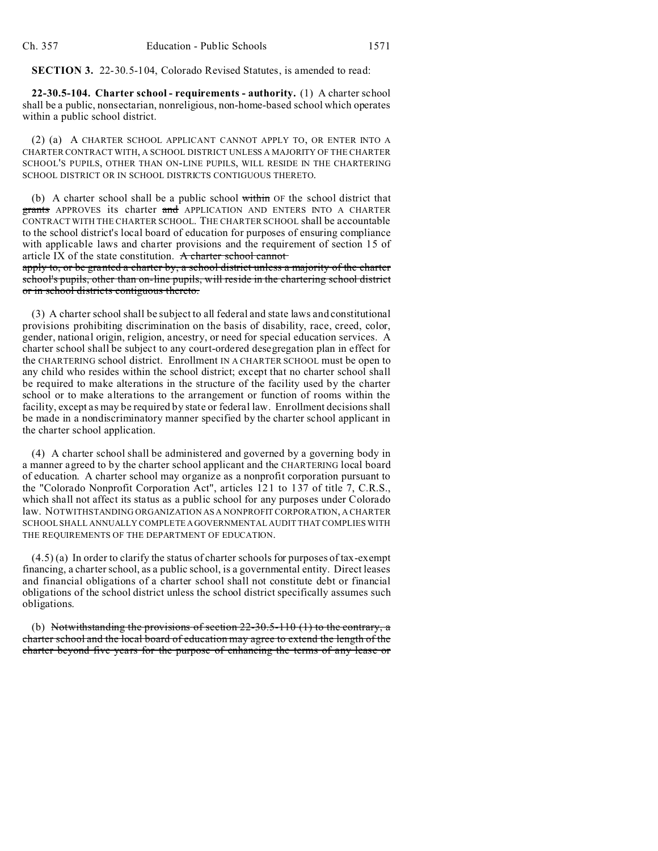**SECTION 3.** 22-30.5-104, Colorado Revised Statutes, is amended to read:

**22-30.5-104. Charter school - requirements - authority.** (1) A charter school shall be a public, nonsectarian, nonreligious, non-home-based school which operates within a public school district.

(2) (a) A CHARTER SCHOOL APPLICANT CANNOT APPLY TO, OR ENTER INTO A CHARTER CONTRACT WITH, A SCHOOL DISTRICT UNLESS A MAJORITY OF THE CHARTER SCHOOL'S PUPILS, OTHER THAN ON-LINE PUPILS, WILL RESIDE IN THE CHARTERING SCHOOL DISTRICT OR IN SCHOOL DISTRICTS CONTIGUOUS THERETO.

(b) A charter school shall be a public school within OF the school district that grants APPROVES its charter and APPLICATION AND ENTERS INTO A CHARTER CONTRACT WITH THE CHARTER SCHOOL. THE CHARTER SCHOOL shall be accountable to the school district's local board of education for purposes of ensuring compliance with applicable laws and charter provisions and the requirement of section 15 of article IX of the state constitution. A charter school cannot

apply to, or be granted a charter by, a school district unless a majority of the charter school's pupils, other than on-line pupils, will reside in the chartering school district or in school districts contiguous thereto.

(3) A charter school shall be subject to all federal and state laws and constitutional provisions prohibiting discrimination on the basis of disability, race, creed, color, gender, national origin, religion, ancestry, or need for special education services. A charter school shall be subject to any court-ordered desegregation plan in effect for the CHARTERING school district. Enrollment IN A CHARTER SCHOOL must be open to any child who resides within the school district; except that no charter school shall be required to make alterations in the structure of the facility used by the charter school or to make alterations to the arrangement or function of rooms within the facility, except as may be required by state or federal law. Enrollment decisions shall be made in a nondiscriminatory manner specified by the charter school applicant in the charter school application.

(4) A charter school shall be administered and governed by a governing body in a manner agreed to by the charter school applicant and the CHARTERING local board of education. A charter school may organize as a nonprofit corporation pursuant to the "Colorado Nonprofit Corporation Act", articles 121 to 137 of title 7, C.R.S., which shall not affect its status as a public school for any purposes under Colorado law. NOTWITHSTANDING ORGANIZATION AS A NONPROFIT CORPORATION, A CHARTER SCHOOL SHALL ANNUALLY COMPLETEAGOVERNMENTAL AUDIT THAT COMPLIES WITH THE REQUIREMENTS OF THE DEPARTMENT OF EDUCATION.

(4.5) (a) In order to clarify the status of charter schools for purposes of tax-exempt financing, a charter school, as a public school, is a governmental entity. Direct leases and financial obligations of a charter school shall not constitute debt or financial obligations of the school district unless the school district specifically assumes such obligations.

(b) Notwithstanding the provisions of section  $22-30.5-110$  (1) to the contrary, a charter school and the local board of education may agree to extend the length of the charter beyond five years for the purpose of enhancing the terms of any lease or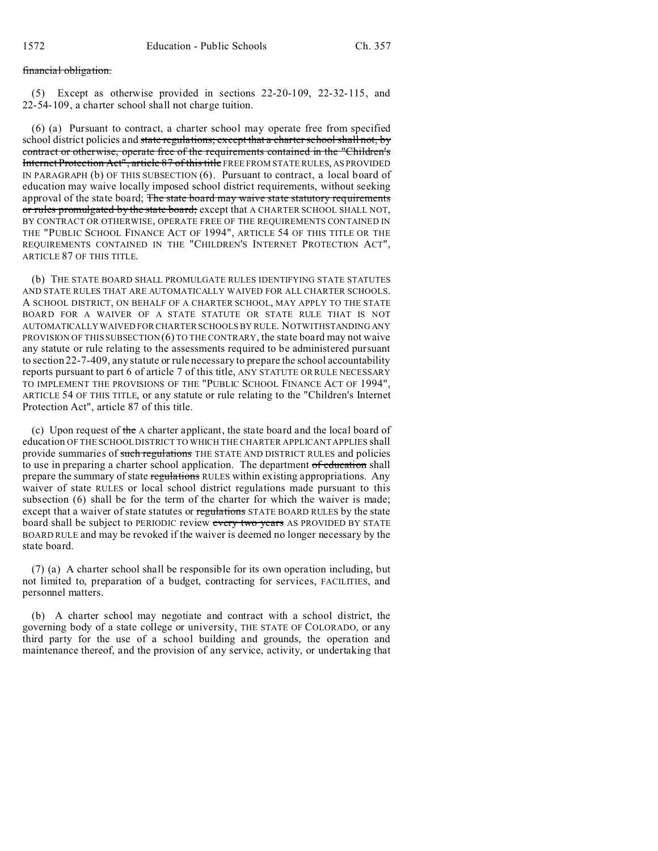### financial obligation.

(5) Except as otherwise provided in sections 22-20-109, 22-32-115, and 22-54-109, a charter school shall not charge tuition.

(6) (a) Pursuant to contract, a charter school may operate free from specified school district policies and state regulations; except that a charter school shall not, by contract or otherwise, operate free of the requirements contained in the "Children's Internet Protection Act", article 87 of this title FREE FROM STATE RULES, AS PROVIDED IN PARAGRAPH (b) OF THIS SUBSECTION (6). Pursuant to contract, a local board of education may waive locally imposed school district requirements, without seeking approval of the state board; The state board may waive state statutory requirements or rules promulgated by the state board; except that A CHARTER SCHOOL SHALL NOT, BY CONTRACT OR OTHERWISE, OPERATE FREE OF THE REQUIREMENTS CONTAINED IN THE "PUBLIC SCHOOL FINANCE ACT OF 1994", ARTICLE 54 OF THIS TITLE OR THE REQUIREMENTS CONTAINED IN THE "CHILDREN'S INTERNET PROTECTION ACT", ARTICLE 87 OF THIS TITLE.

(b) THE STATE BOARD SHALL PROMULGATE RULES IDENTIFYING STATE STATUTES AND STATE RULES THAT ARE AUTOMATICALLY WAIVED FOR ALL CHARTER SCHOOLS. A SCHOOL DISTRICT, ON BEHALF OF A CHARTER SCHOOL, MAY APPLY TO THE STATE BOARD FOR A WAIVER OF A STATE STATUTE OR STATE RULE THAT IS NOT AUTOMATICALLY WAIVED FOR CHARTER SCHOOLS BY RULE. NOTWITHSTANDING ANY PROVISION OF THIS SUBSECTION  $(6)$  TO THE CONTRARY, the state board may not waive any statute or rule relating to the assessments required to be administered pursuant to section 22-7-409, any statute or rule necessary to prepare the school accountability reports pursuant to part 6 of article 7 of this title, ANY STATUTE OR RULE NECESSARY TO IMPLEMENT THE PROVISIONS OF THE "PUBLIC SCHOOL FINANCE ACT OF 1994", ARTICLE 54 OF THIS TITLE, or any statute or rule relating to the "Children's Internet Protection Act", article 87 of this title.

(c) Upon request of the A charter applicant, the state board and the local board of education OF THE SCHOOL DISTRICT TO WHICH THE CHARTER APPLICANT APPLIES shall provide summaries of such regulations THE STATE AND DISTRICT RULES and policies to use in preparing a charter school application. The department of education shall prepare the summary of state regulations RULES within existing appropriations. Any waiver of state RULES or local school district regulations made pursuant to this subsection (6) shall be for the term of the charter for which the waiver is made; except that a waiver of state statutes or regulations STATE BOARD RULES by the state board shall be subject to PERIODIC review every two years AS PROVIDED BY STATE BOARD RULE and may be revoked if the waiver is deemed no longer necessary by the state board.

(7) (a) A charter school shall be responsible for its own operation including, but not limited to, preparation of a budget, contracting for services, FACILITIES, and personnel matters.

(b) A charter school may negotiate and contract with a school district, the governing body of a state college or university, THE STATE OF COLORADO, or any third party for the use of a school building and grounds, the operation and maintenance thereof, and the provision of any service, activity, or undertaking that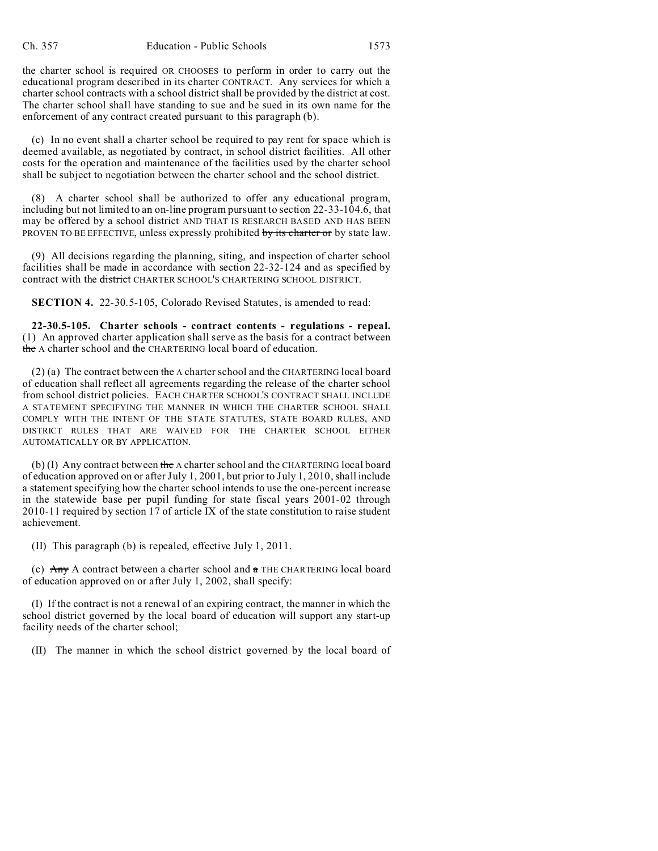the charter school is required OR CHOOSES to perform in order to carry out the educational program described in its charter CONTRACT. Any services for which a charter school contracts with a school district shall be provided by the district at cost. The charter school shall have standing to sue and be sued in its own name for the enforcement of any contract created pursuant to this paragraph (b).

(c) In no event shall a charter school be required to pay rent for space which is deemed available, as negotiated by contract, in school district facilities. All other costs for the operation and maintenance of the facilities used by the charter school shall be subject to negotiation between the charter school and the school district.

(8) A charter school shall be authorized to offer any educational program, including but not limited to an on-line program pursuant to section 22-33-104.6, that may be offered by a school district AND THAT IS RESEARCH BASED AND HAS BEEN PROVEN TO BE EFFECTIVE, unless expressly prohibited by its charter or by state law.

(9) All decisions regarding the planning, siting, and inspection of charter school facilities shall be made in accordance with section 22-32-124 and as specified by contract with the district CHARTER SCHOOL'S CHARTERING SCHOOL DISTRICT.

**SECTION 4.** 22-30.5-105, Colorado Revised Statutes, is amended to read:

**22-30.5-105. Charter schools - contract contents - regulations - repeal.** (1) An approved charter application shall serve as the basis for a contract between the A charter school and the CHARTERING local board of education.

(2) (a) The contract between the A charter school and the CHARTERING local board of education shall reflect all agreements regarding the release of the charter school from school district policies. EACH CHARTER SCHOOL'S CONTRACT SHALL INCLUDE A STATEMENT SPECIFYING THE MANNER IN WHICH THE CHARTER SCHOOL SHALL COMPLY WITH THE INTENT OF THE STATE STATUTES, STATE BOARD RULES, AND DISTRICT RULES THAT ARE WAIVED FOR THE CHARTER SCHOOL EITHER AUTOMATICALLY OR BY APPLICATION.

(b) (I) Any contract between the A charter school and the CHARTERING local board of education approved on or after July 1, 2001, but prior to July 1, 2010, shall include a statement specifying how the charter school intends to use the one-percent increase in the statewide base per pupil funding for state fiscal years 2001-02 through 2010-11 required by section 17 of article IX of the state constitution to raise student achievement.

(II) This paragraph (b) is repealed, effective July 1, 2011.

(c)  $\overrightarrow{Any}$  A contract between a charter school and  $\pi$  THE CHARTERING local board of education approved on or after July 1, 2002, shall specify:

(I) If the contract is not a renewal of an expiring contract, the manner in which the school district governed by the local board of education will support any start-up facility needs of the charter school;

(II) The manner in which the school district governed by the local board of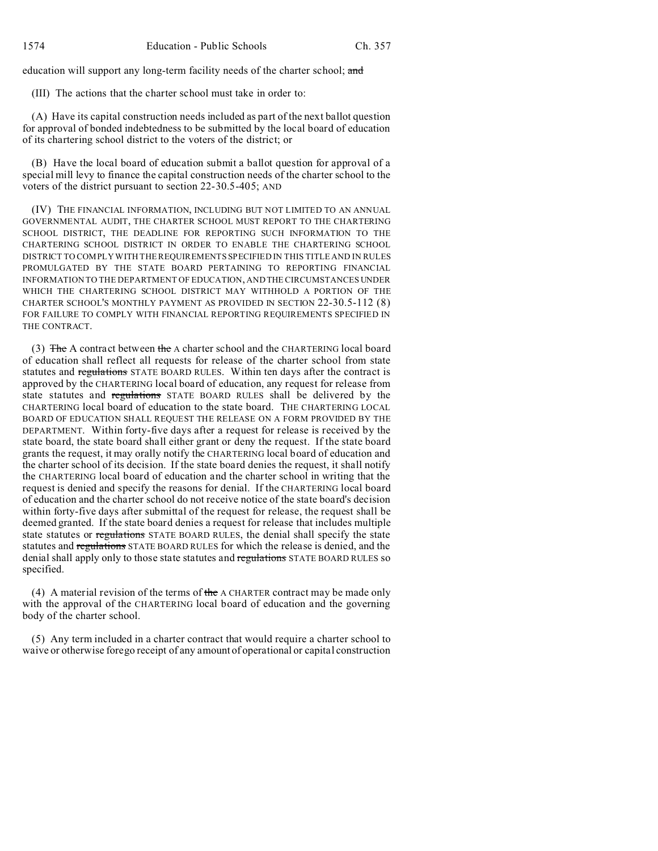education will support any long-term facility needs of the charter school; and

(III) The actions that the charter school must take in order to:

(A) Have its capital construction needs included as part of the next ballot question for approval of bonded indebtedness to be submitted by the local board of education of its chartering school district to the voters of the district; or

(B) Have the local board of education submit a ballot question for approval of a special mill levy to finance the capital construction needs of the charter school to the voters of the district pursuant to section 22-30.5-405; AND

(IV) THE FINANCIAL INFORMATION, INCLUDING BUT NOT LIMITED TO AN ANNUAL GOVERNMENTAL AUDIT, THE CHARTER SCHOOL MUST REPORT TO THE CHARTERING SCHOOL DISTRICT, THE DEADLINE FOR REPORTING SUCH INFORMATION TO THE CHARTERING SCHOOL DISTRICT IN ORDER TO ENABLE THE CHARTERING SCHOOL DISTRICT TO COMPLY WITH THE REQUIREMENTS SPECIFIED IN THIS TITLE AND IN RULES PROMULGATED BY THE STATE BOARD PERTAINING TO REPORTING FINANCIAL INFORMATION TO THE DEPARTMENT OF EDUCATION, AND THE CIRCUMSTANCES UNDER WHICH THE CHARTERING SCHOOL DISTRICT MAY WITHHOLD A PORTION OF THE CHARTER SCHOOL'S MONTHLY PAYMENT AS PROVIDED IN SECTION 22-30.5-112 (8) FOR FAILURE TO COMPLY WITH FINANCIAL REPORTING REQUIREMENTS SPECIFIED IN THE CONTRACT.

(3) The A contract between the A charter school and the CHARTERING local board of education shall reflect all requests for release of the charter school from state statutes and regulations STATE BOARD RULES. Within ten days after the contract is approved by the CHARTERING local board of education, any request for release from state statutes and regulations STATE BOARD RULES shall be delivered by the CHARTERING local board of education to the state board. THE CHARTERING LOCAL BOARD OF EDUCATION SHALL REQUEST THE RELEASE ON A FORM PROVIDED BY THE DEPARTMENT. Within forty-five days after a request for release is received by the state board, the state board shall either grant or deny the request. If the state board grants the request, it may orally notify the CHARTERING local board of education and the charter school of its decision. If the state board denies the request, it shall notify the CHARTERING local board of education and the charter school in writing that the request is denied and specify the reasons for denial. If the CHARTERING local board of education and the charter school do not receive notice of the state board's decision within forty-five days after submittal of the request for release, the request shall be deemed granted. If the state board denies a request for release that includes multiple state statutes or regulations STATE BOARD RULES, the denial shall specify the state statutes and regulations STATE BOARD RULES for which the release is denied, and the denial shall apply only to those state statutes and regulations STATE BOARD RULES so specified.

(4) A material revision of the terms of the A CHARTER contract may be made only with the approval of the CHARTERING local board of education and the governing body of the charter school.

(5) Any term included in a charter contract that would require a charter school to waive or otherwise forego receipt of any amount of operational or capital construction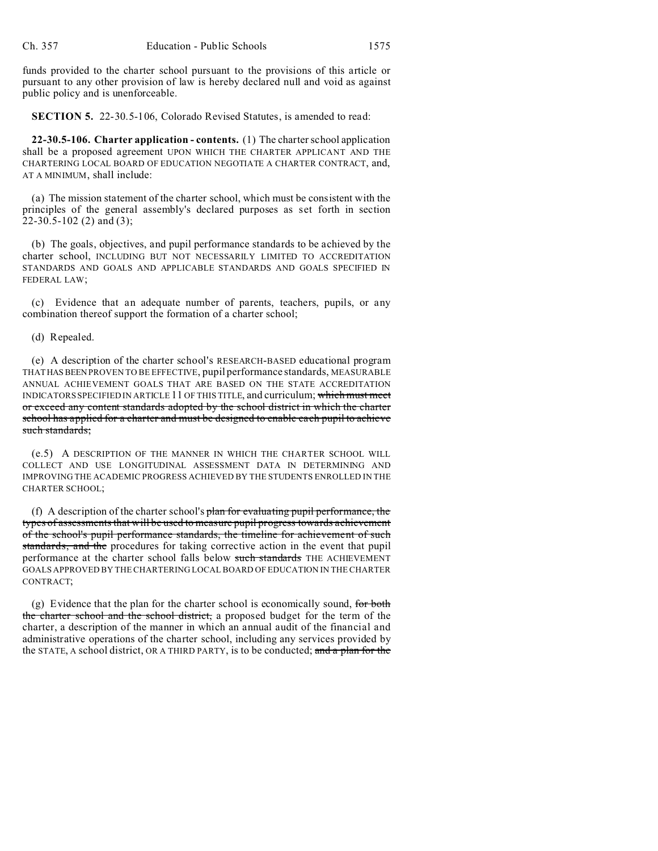funds provided to the charter school pursuant to the provisions of this article or pursuant to any other provision of law is hereby declared null and void as against public policy and is unenforceable.

**SECTION 5.** 22-30.5-106, Colorado Revised Statutes, is amended to read:

**22-30.5-106. Charter application - contents.** (1) The charter school application shall be a proposed agreement UPON WHICH THE CHARTER APPLICANT AND THE CHARTERING LOCAL BOARD OF EDUCATION NEGOTIATE A CHARTER CONTRACT, and, AT A MINIMUM, shall include:

(a) The mission statement of the charter school, which must be consistent with the principles of the general assembly's declared purposes as set forth in section 22-30.5-102 (2) and (3);

(b) The goals, objectives, and pupil performance standards to be achieved by the charter school, INCLUDING BUT NOT NECESSARILY LIMITED TO ACCREDITATION STANDARDS AND GOALS AND APPLICABLE STANDARDS AND GOALS SPECIFIED IN FEDERAL LAW;

(c) Evidence that an adequate number of parents, teachers, pupils, or any combination thereof support the formation of a charter school;

(d) Repealed.

(e) A description of the charter school's RESEARCH-BASED educational program THATHASBEEN PROVEN TO BE EFFECTIVE, pupil performance standards, MEASURABLE ANNUAL ACHIEVEMENT GOALS THAT ARE BASED ON THE STATE ACCREDITATION INDICATORS SPECIFIED IN ARTICLE 11 OF THIS TITLE, and curriculum; which must meet or exceed any content standards adopted by the school district in which the charter school has applied for a charter and must be designed to enable each pupil to achieve such standards;

(e.5) A DESCRIPTION OF THE MANNER IN WHICH THE CHARTER SCHOOL WILL COLLECT AND USE LONGITUDINAL ASSESSMENT DATA IN DETERMINING AND IMPROVING THE ACADEMIC PROGRESS ACHIEVED BY THE STUDENTS ENROLLED IN THE CHARTER SCHOOL;

(f) A description of the charter school's  $plan$  for evaluating pupil performance, the types of assessments that will be used to measure pupil progress towards achievement of the school's pupil performance standards, the timeline for achievement of such standards, and the procedures for taking corrective action in the event that pupil performance at the charter school falls below such standards THE ACHIEVEMENT GOALS APPROVED BY THE CHARTERING LOCAL BOARD OF EDUCATION IN THE CHARTER CONTRACT;

(g) Evidence that the plan for the charter school is economically sound, for both the charter school and the school district, a proposed budget for the term of the charter, a description of the manner in which an annual audit of the financial and administrative operations of the charter school, including any services provided by the STATE, A school district, OR A THIRD PARTY, is to be conducted; and a plan for the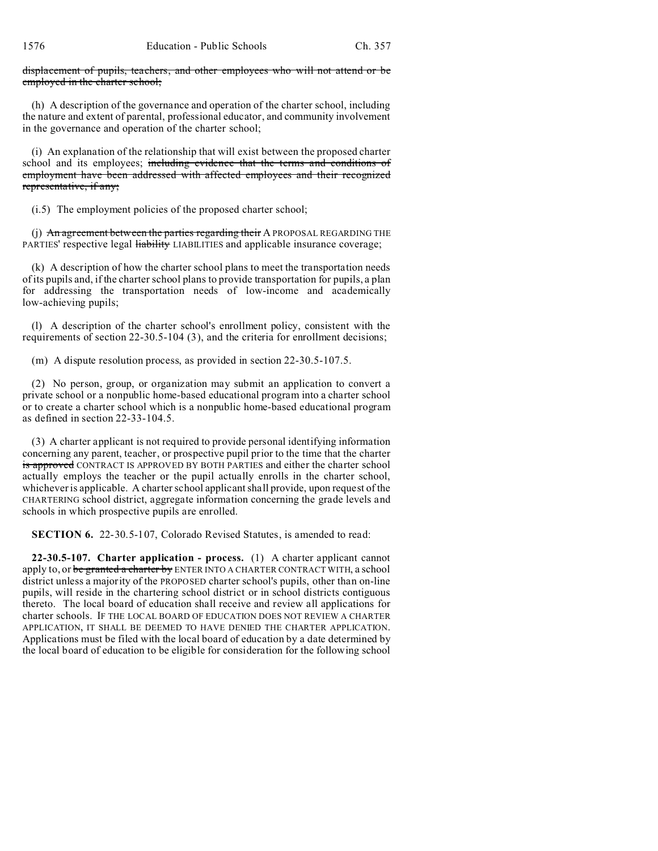displacement of pupils, teachers, and other employees who will not attend or be employed in the charter school;

(h) A description of the governance and operation of the charter school, including the nature and extent of parental, professional educator, and community involvement in the governance and operation of the charter school;

(i) An explanation of the relationship that will exist between the proposed charter school and its employees; including evidence that the terms and conditions of employment have been addressed with affected employees and their recognized representative, if any;

(i.5) The employment policies of the proposed charter school;

(j) An agreement between the parties regarding their A PROPOSAL REGARDING THE PARTIES' respective legal **liability** LIABILITIES and applicable insurance coverage;

(k) A description of how the charter school plans to meet the transportation needs of its pupils and, if the charter school plans to provide transportation for pupils, a plan for addressing the transportation needs of low-income and academically low-achieving pupils;

(l) A description of the charter school's enrollment policy, consistent with the requirements of section 22-30.5-104 (3), and the criteria for enrollment decisions;

(m) A dispute resolution process, as provided in section 22-30.5-107.5.

(2) No person, group, or organization may submit an application to convert a private school or a nonpublic home-based educational program into a charter school or to create a charter school which is a nonpublic home-based educational program as defined in section 22-33-104.5.

(3) A charter applicant is not required to provide personal identifying information concerning any parent, teacher, or prospective pupil prior to the time that the charter is approved CONTRACT IS APPROVED BY BOTH PARTIES and either the charter school actually employs the teacher or the pupil actually enrolls in the charter school, whichever is applicable. A charter school applicant shall provide, upon request of the CHARTERING school district, aggregate information concerning the grade levels and schools in which prospective pupils are enrolled.

**SECTION 6.** 22-30.5-107, Colorado Revised Statutes, is amended to read:

**22-30.5-107. Charter application - process.** (1) A charter applicant cannot apply to, or be granted a charter by ENTER INTO A CHARTER CONTRACT WITH, a school district unless a majority of the PROPOSED charter school's pupils, other than on-line pupils, will reside in the chartering school district or in school districts contiguous thereto. The local board of education shall receive and review all applications for charter schools. IF THE LOCAL BOARD OF EDUCATION DOES NOT REVIEW A CHARTER APPLICATION, IT SHALL BE DEEMED TO HAVE DENIED THE CHARTER APPLICATION. Applications must be filed with the local board of education by a date determined by the local board of education to be eligible for consideration for the following school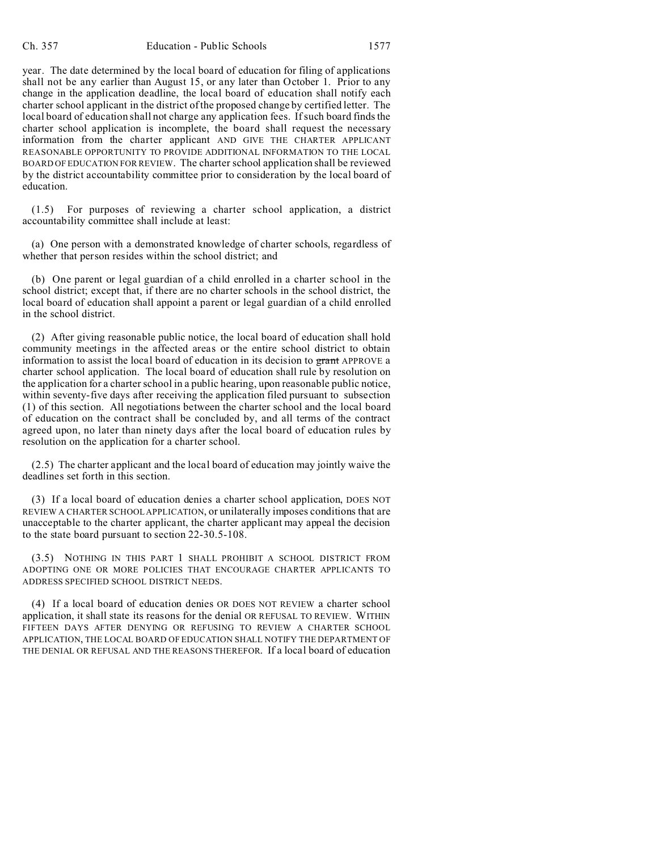year. The date determined by the local board of education for filing of applications shall not be any earlier than August 15, or any later than October 1. Prior to any change in the application deadline, the local board of education shall notify each charter school applicant in the district of the proposed change by certified letter. The local board of education shall not charge any application fees. If such board finds the charter school application is incomplete, the board shall request the necessary information from the charter applicant AND GIVE THE CHARTER APPLICANT REASONABLE OPPORTUNITY TO PROVIDE ADDITIONAL INFORMATION TO THE LOCAL BOARD OF EDUCATION FOR REVIEW. The charter school application shall be reviewed by the district accountability committee prior to consideration by the local board of education.

(1.5) For purposes of reviewing a charter school application, a district accountability committee shall include at least:

(a) One person with a demonstrated knowledge of charter schools, regardless of whether that person resides within the school district; and

(b) One parent or legal guardian of a child enrolled in a charter school in the school district; except that, if there are no charter schools in the school district, the local board of education shall appoint a parent or legal guardian of a child enrolled in the school district.

(2) After giving reasonable public notice, the local board of education shall hold community meetings in the affected areas or the entire school district to obtain information to assist the local board of education in its decision to grant APPROVE a charter school application. The local board of education shall rule by resolution on the application for a charter school in a public hearing, upon reasonable public notice, within seventy-five days after receiving the application filed pursuant to subsection (1) of this section. All negotiations between the charter school and the local board of education on the contract shall be concluded by, and all terms of the contract agreed upon, no later than ninety days after the local board of education rules by resolution on the application for a charter school.

(2.5) The charter applicant and the local board of education may jointly waive the deadlines set forth in this section.

(3) If a local board of education denies a charter school application, DOES NOT REVIEW A CHARTER SCHOOL APPLICATION, or unilaterally imposes conditions that are unacceptable to the charter applicant, the charter applicant may appeal the decision to the state board pursuant to section 22-30.5-108.

(3.5) NOTHING IN THIS PART 1 SHALL PROHIBIT A SCHOOL DISTRICT FROM ADOPTING ONE OR MORE POLICIES THAT ENCOURAGE CHARTER APPLICANTS TO ADDRESS SPECIFIED SCHOOL DISTRICT NEEDS.

(4) If a local board of education denies OR DOES NOT REVIEW a charter school application, it shall state its reasons for the denial OR REFUSAL TO REVIEW. WITHIN FIFTEEN DAYS AFTER DENYING OR REFUSING TO REVIEW A CHARTER SCHOOL APPLICATION, THE LOCAL BOARD OF EDUCATION SHALL NOTIFY THE DEPARTMENT OF THE DENIAL OR REFUSAL AND THE REASONS THEREFOR. If a local board of education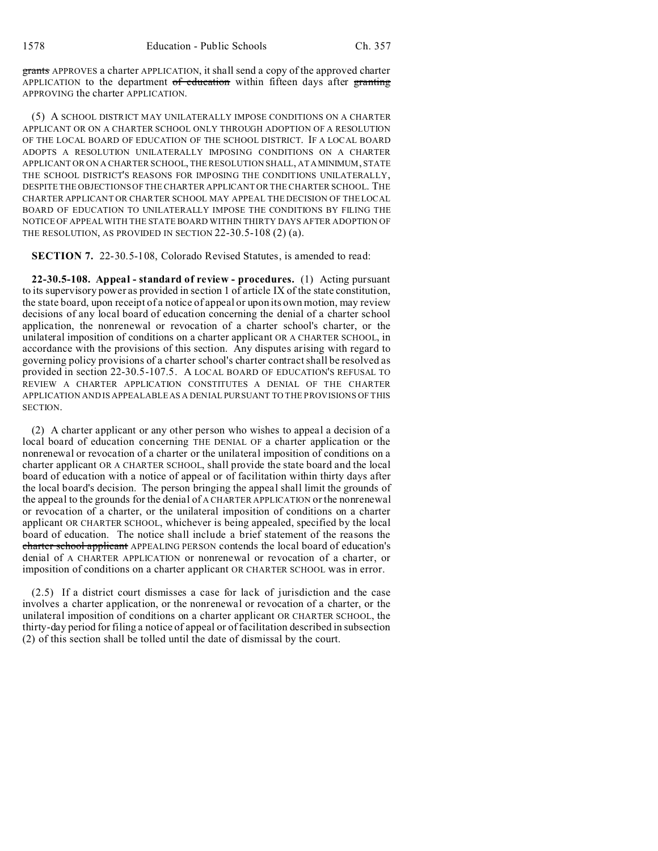grants APPROVES a charter APPLICATION, it shall send a copy of the approved charter APPLICATION to the department  $of$  education within fifteen days after granting APPROVING the charter APPLICATION.

(5) A SCHOOL DISTRICT MAY UNILATERALLY IMPOSE CONDITIONS ON A CHARTER APPLICANT OR ON A CHARTER SCHOOL ONLY THROUGH ADOPTION OF A RESOLUTION OF THE LOCAL BOARD OF EDUCATION OF THE SCHOOL DISTRICT. IF A LOCAL BOARD ADOPTS A RESOLUTION UNILATERALLY IMPOSING CONDITIONS ON A CHARTER APPLICANT OR ON A CHARTER SCHOOL, THE RESOLUTION SHALL, AT AMINIMUM, STATE THE SCHOOL DISTRICT'S REASONS FOR IMPOSING THE CONDITIONS UNILATERALLY, DESPITE THE OBJECTIONS OF THE CHARTER APPLICANT OR THE CHARTER SCHOOL. THE CHARTER APPLICANT OR CHARTER SCHOOL MAY APPEAL THE DECISION OF THE LOCAL BOARD OF EDUCATION TO UNILATERALLY IMPOSE THE CONDITIONS BY FILING THE NOTICE OF APPEAL WITH THE STATE BOARD WITHIN THIRTY DAYS AFTER ADOPTION OF THE RESOLUTION, AS PROVIDED IN SECTION 22-30.5-108 (2) (a).

**SECTION 7.** 22-30.5-108, Colorado Revised Statutes, is amended to read:

**22-30.5-108. Appeal - standard of review - procedures.** (1) Acting pursuant to its supervisory power as provided in section 1 of article IX of the state constitution, the state board, upon receipt of a notice of appeal or upon its own motion, may review decisions of any local board of education concerning the denial of a charter school application, the nonrenewal or revocation of a charter school's charter, or the unilateral imposition of conditions on a charter applicant OR A CHARTER SCHOOL, in accordance with the provisions of this section. Any disputes arising with regard to governing policy provisions of a charter school's charter contract shall be resolved as provided in section 22-30.5-107.5. A LOCAL BOARD OF EDUCATION'S REFUSAL TO REVIEW A CHARTER APPLICATION CONSTITUTES A DENIAL OF THE CHARTER APPLICATION AND IS APPEALABLE AS A DENIAL PURSUANT TO THE PROVISIONS OF THIS SECTION.

(2) A charter applicant or any other person who wishes to appeal a decision of a local board of education concerning THE DENIAL OF a charter application or the nonrenewal or revocation of a charter or the unilateral imposition of conditions on a charter applicant OR A CHARTER SCHOOL, shall provide the state board and the local board of education with a notice of appeal or of facilitation within thirty days after the local board's decision. The person bringing the appeal shall limit the grounds of the appeal to the grounds for the denial of A CHARTER APPLICATION or the nonrenewal or revocation of a charter, or the unilateral imposition of conditions on a charter applicant OR CHARTER SCHOOL, whichever is being appealed, specified by the local board of education. The notice shall include a brief statement of the reasons the charter school applicant APPEALING PERSON contends the local board of education's denial of A CHARTER APPLICATION or nonrenewal or revocation of a charter, or imposition of conditions on a charter applicant OR CHARTER SCHOOL was in error.

(2.5) If a district court dismisses a case for lack of jurisdiction and the case involves a charter application, or the nonrenewal or revocation of a charter, or the unilateral imposition of conditions on a charter applicant OR CHARTER SCHOOL, the thirty-day period for filing a notice of appeal or of facilitation described in subsection (2) of this section shall be tolled until the date of dismissal by the court.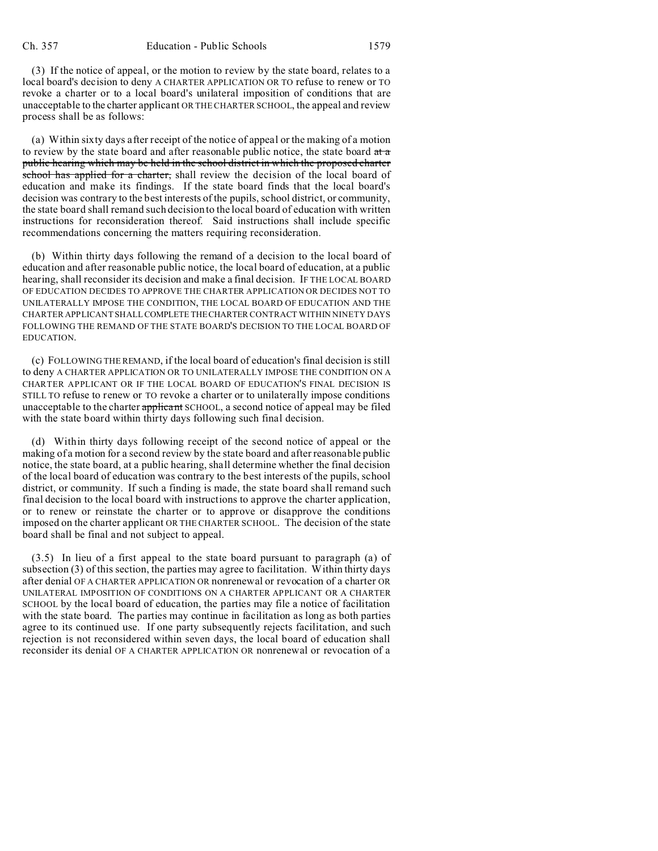(3) If the notice of appeal, or the motion to review by the state board, relates to a local board's decision to deny A CHARTER APPLICATION OR TO refuse to renew or TO revoke a charter or to a local board's unilateral imposition of conditions that are unacceptable to the charter applicant OR THE CHARTER SCHOOL, the appeal and review process shall be as follows:

(a) Within sixty days after receipt of the notice of appeal or the making of a motion to review by the state board and after reasonable public notice, the state board  $at \pi$ public hearing which may be held in the school district in which the proposed charter school has applied for a charter, shall review the decision of the local board of education and make its findings. If the state board finds that the local board's decision was contrary to the best interests of the pupils, school district, or community, the state board shall remand such decision to the local board of education with written instructions for reconsideration thereof. Said instructions shall include specific recommendations concerning the matters requiring reconsideration.

(b) Within thirty days following the remand of a decision to the local board of education and after reasonable public notice, the local board of education, at a public hearing, shall reconsider its decision and make a final decision. IF THE LOCAL BOARD OF EDUCATION DECIDES TO APPROVE THE CHARTER APPLICATION OR DECIDES NOT TO UNILATERALLY IMPOSE THE CONDITION, THE LOCAL BOARD OF EDUCATION AND THE CHARTER APPLICANT SHALLCOMPLETE THECHARTER CONTRACT WITHIN NINETY DAYS FOLLOWING THE REMAND OF THE STATE BOARD'S DECISION TO THE LOCAL BOARD OF EDUCATION.

(c) FOLLOWING THE REMAND, if the local board of education's final decision is still to deny A CHARTER APPLICATION OR TO UNILATERALLY IMPOSE THE CONDITION ON A CHARTER APPLICANT OR IF THE LOCAL BOARD OF EDUCATION'S FINAL DECISION IS STILL TO refuse to renew or TO revoke a charter or to unilaterally impose conditions unacceptable to the charter applicant SCHOOL, a second notice of appeal may be filed with the state board within thirty days following such final decision.

(d) Within thirty days following receipt of the second notice of appeal or the making of a motion for a second review by the state board and after reasonable public notice, the state board, at a public hearing, shall determine whether the final decision of the local board of education was contrary to the best interests of the pupils, school district, or community. If such a finding is made, the state board shall remand such final decision to the local board with instructions to approve the charter application, or to renew or reinstate the charter or to approve or disapprove the conditions imposed on the charter applicant OR THE CHARTER SCHOOL. The decision of the state board shall be final and not subject to appeal.

(3.5) In lieu of a first appeal to the state board pursuant to paragraph (a) of subsection (3) of this section, the parties may agree to facilitation. Within thirty days after denial OF A CHARTER APPLICATION OR nonrenewal or revocation of a charter OR UNILATERAL IMPOSITION OF CONDITIONS ON A CHARTER APPLICANT OR A CHARTER SCHOOL by the local board of education, the parties may file a notice of facilitation with the state board. The parties may continue in facilitation as long as both parties agree to its continued use. If one party subsequently rejects facilitation, and such rejection is not reconsidered within seven days, the local board of education shall reconsider its denial OF A CHARTER APPLICATION OR nonrenewal or revocation of a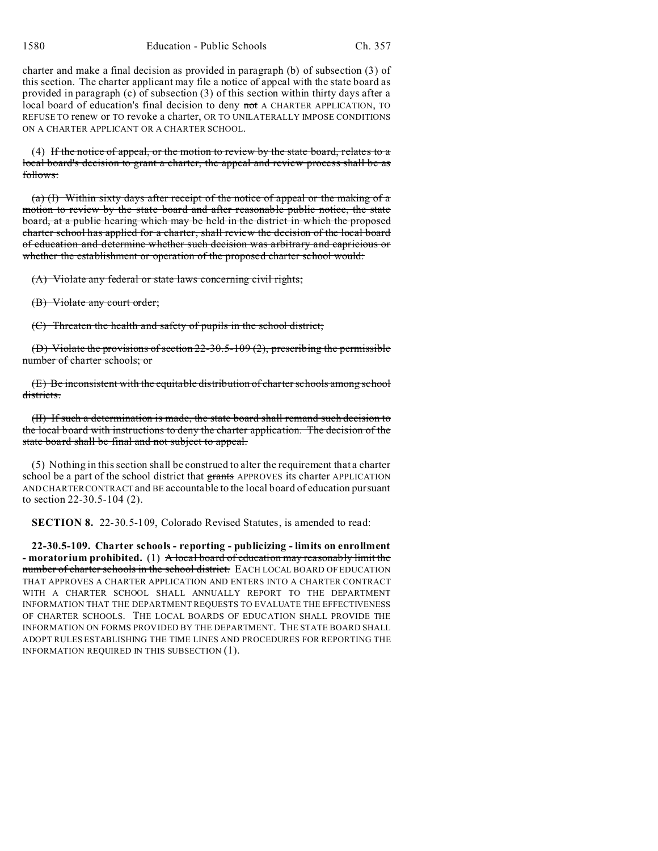1580 Education - Public Schools Ch. 357

charter and make a final decision as provided in paragraph (b) of subsection (3) of this section. The charter applicant may file a notice of appeal with the state board as provided in paragraph (c) of subsection (3) of this section within thirty days after a local board of education's final decision to deny not A CHARTER APPLICATION, TO REFUSE TO renew or TO revoke a charter, OR TO UNILATERALLY IMPOSE CONDITIONS ON A CHARTER APPLICANT OR A CHARTER SCHOOL.

 $(4)$  If the notice of appeal, or the motion to review by the state board, relates to a local board's decision to grant a charter, the appeal and review process shall be as follows:

(a) (I) Within sixty days after receipt of the notice of appeal or the making of a motion to review by the state board and after reasonable public notice, the state board, at a public hearing which may be held in the district in which the proposed charter school has applied for a charter, shall review the decision of the local board of education and determine whether such decision was arbitrary and capricious or whether the establishment or operation of the proposed charter school would:

(A) Violate any federal or state laws concerning civil rights;

(B) Violate any court order;

(C) Threaten the health and safety of pupils in the school district;

(D) Violate the provisions of section 22-30.5-109 (2), prescribing the permissible number of charter schools; or

(E) Be inconsistent with the equitable distribution of charter schools among school districts.

(II) If such a determination is made, the state board shall remand such decision to the local board with instructions to deny the charter application. The decision of the state board shall be final and not subject to appeal.

(5) Nothing in this section shall be construed to alter the requirement that a charter school be a part of the school district that grants APPROVES its charter APPLICATION AND CHARTER CONTRACT and BE accountable to the local board of education pursuant to section 22-30.5-104 (2).

**SECTION 8.** 22-30.5-109, Colorado Revised Statutes, is amended to read:

**22-30.5-109. Charter schools - reporting - publicizing - limits on enrollment - moratorium prohibited.** (1) A local board of education may reasonably limit the number of charter schools in the school district. EACH LOCAL BOARD OF EDUCATION THAT APPROVES A CHARTER APPLICATION AND ENTERS INTO A CHARTER CONTRACT WITH A CHARTER SCHOOL SHALL ANNUALLY REPORT TO THE DEPARTMENT INFORMATION THAT THE DEPARTMENT REQUESTS TO EVALUATE THE EFFECTIVENESS OF CHARTER SCHOOLS. THE LOCAL BOARDS OF EDUCATION SHALL PROVIDE THE INFORMATION ON FORMS PROVIDED BY THE DEPARTMENT. THE STATE BOARD SHALL ADOPT RULES ESTABLISHING THE TIME LINES AND PROCEDURES FOR REPORTING THE INFORMATION REQUIRED IN THIS SUBSECTION (1).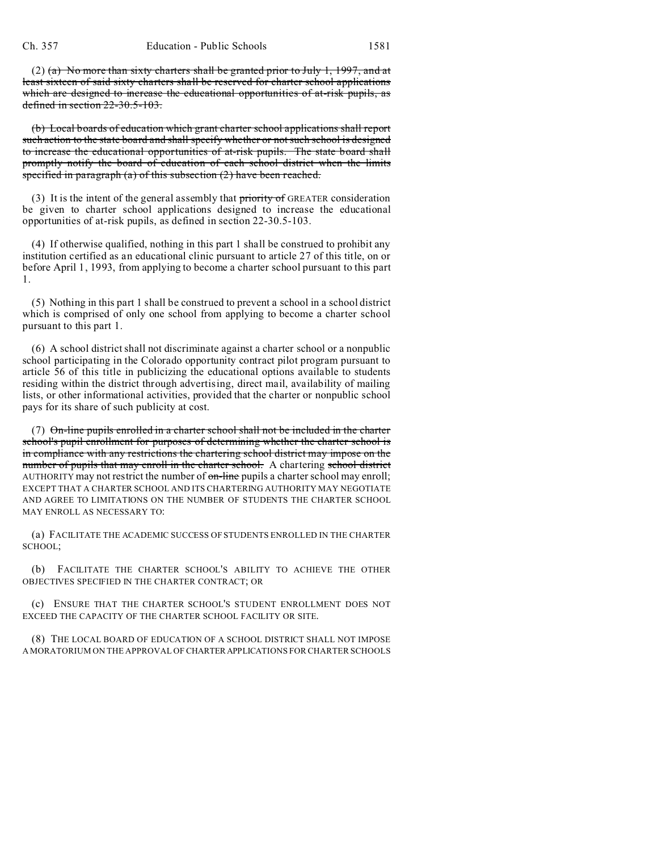(2) (a) No more than sixty charters shall be granted prior to July 1, 1997, and at least sixteen of said sixty charters shall be reserved for charter school applications which are designed to increase the educational opportunities of at-risk pupils, as defined in section 22-30.5-103.

(b) Local boards of education which grant charter school applications shall report such action to the state board and shall specify whether or not such school is designed to increase the educational opportunities of at-risk pupils. The state board shall promptly notify the board of education of each school district when the limits specified in paragraph  $(a)$  of this subsection  $(2)$  have been reached.

(3) It is the intent of the general assembly that priority of GREATER consideration be given to charter school applications designed to increase the educational opportunities of at-risk pupils, as defined in section 22-30.5-103.

(4) If otherwise qualified, nothing in this part 1 shall be construed to prohibit any institution certified as an educational clinic pursuant to article 27 of this title, on or before April 1, 1993, from applying to become a charter school pursuant to this part 1.

(5) Nothing in this part 1 shall be construed to prevent a school in a school district which is comprised of only one school from applying to become a charter school pursuant to this part 1.

(6) A school district shall not discriminate against a charter school or a nonpublic school participating in the Colorado opportunity contract pilot program pursuant to article 56 of this title in publicizing the educational options available to students residing within the district through advertising, direct mail, availability of mailing lists, or other informational activities, provided that the charter or nonpublic school pays for its share of such publicity at cost.

(7) On-line pupils enrolled in a charter school shall not be included in the charter school's pupil enrollment for purposes of determining whether the charter school is in compliance with any restrictions the chartering school district may impose on the number of pupils that may enroll in the charter school. A chartering school district AUTHORITY may not restrict the number of  $\theta$ -line pupils a charter school may enroll; EXCEPT THAT A CHARTER SCHOOL AND ITS CHARTERING AUTHORITY MAY NEGOTIATE AND AGREE TO LIMITATIONS ON THE NUMBER OF STUDENTS THE CHARTER SCHOOL MAY ENROLL AS NECESSARY TO:

(a) FACILITATE THE ACADEMIC SUCCESS OF STUDENTS ENROLLED IN THE CHARTER SCHOOL;

(b) FACILITATE THE CHARTER SCHOOL'S ABILITY TO ACHIEVE THE OTHER OBJECTIVES SPECIFIED IN THE CHARTER CONTRACT; OR

(c) ENSURE THAT THE CHARTER SCHOOL'S STUDENT ENROLLMENT DOES NOT EXCEED THE CAPACITY OF THE CHARTER SCHOOL FACILITY OR SITE.

(8) THE LOCAL BOARD OF EDUCATION OF A SCHOOL DISTRICT SHALL NOT IMPOSE A MORATORIUM ON THE APPROVAL OF CHARTERAPPLICATIONS FOR CHARTER SCHOOLS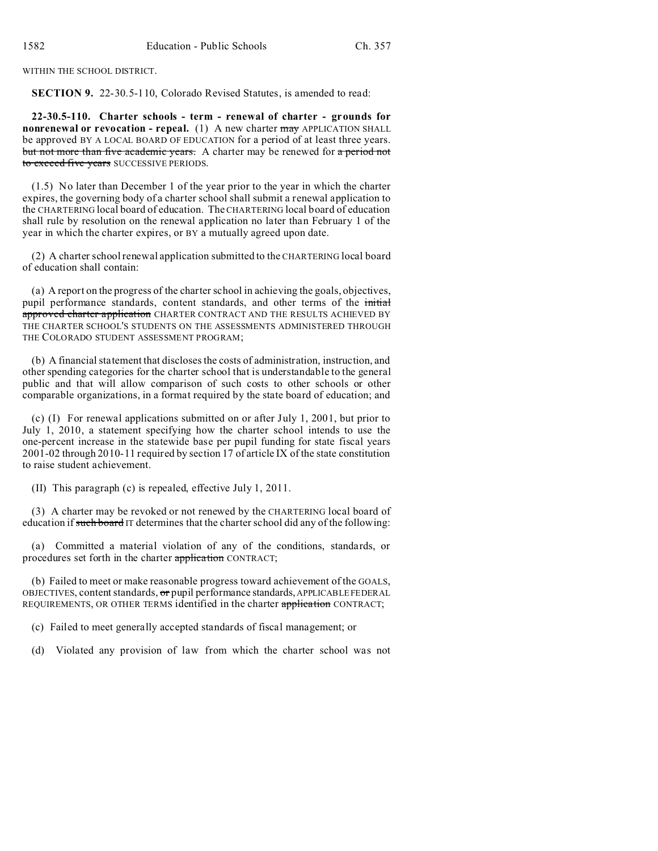WITHIN THE SCHOOL DISTRICT.

**SECTION 9.** 22-30.5-110, Colorado Revised Statutes, is amended to read:

**22-30.5-110. Charter schools - term - renewal of charter - grounds for nonrenewal or revocation - repeal.** (1) A new charter may APPLICATION SHALL be approved BY A LOCAL BOARD OF EDUCATION for a period of at least three years. but not more than five academic years. A charter may be renewed for a period not to exceed five years SUCCESSIVE PERIODS.

(1.5) No later than December 1 of the year prior to the year in which the charter expires, the governing body of a charter school shall submit a renewal application to the CHARTERING local board of education. The CHARTERING local board of education shall rule by resolution on the renewal application no later than February 1 of the year in which the charter expires, or BY a mutually agreed upon date.

(2) A charter school renewal application submitted to the CHARTERING local board of education shall contain:

(a) A report on the progress of the charter school in achieving the goals, objectives, pupil performance standards, content standards, and other terms of the initial approved charter application CHARTER CONTRACT AND THE RESULTS ACHIEVED BY THE CHARTER SCHOOL'S STUDENTS ON THE ASSESSMENTS ADMINISTERED THROUGH THE COLORADO STUDENT ASSESSMENT PROGRAM;

(b) A financial statement that discloses the costs of administration, instruction, and other spending categories for the charter school that is understandable to the general public and that will allow comparison of such costs to other schools or other comparable organizations, in a format required by the state board of education; and

(c) (I) For renewal applications submitted on or after July 1, 2001, but prior to July 1, 2010, a statement specifying how the charter school intends to use the one-percent increase in the statewide base per pupil funding for state fiscal years 2001-02 through 2010-11 required by section 17 of article IX of the state constitution to raise student achievement.

(II) This paragraph (c) is repealed, effective July 1, 2011.

(3) A charter may be revoked or not renewed by the CHARTERING local board of education if such board IT determines that the charter school did any of the following:

(a) Committed a material violation of any of the conditions, standards, or procedures set forth in the charter application CONTRACT;

(b) Failed to meet or make reasonable progress toward achievement of the GOALS, OBJECTIVES, content standards, or pupil performance standards, APPLICABLE FEDERAL REQUIREMENTS, OR OTHER TERMS identified in the charter application CONTRACT;

(c) Failed to meet generally accepted standards of fiscal management; or

(d) Violated any provision of law from which the charter school was not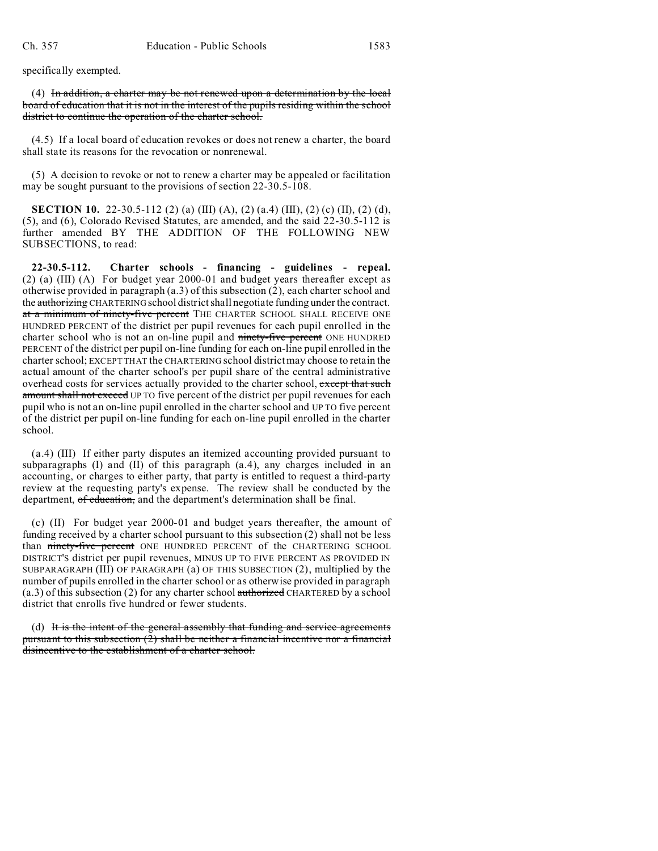specifically exempted.

(4) In addition, a charter may be not renewed upon a determination by the local board of education that it is not in the interest of the pupils residing within the school district to continue the operation of the charter school.

(4.5) If a local board of education revokes or does not renew a charter, the board shall state its reasons for the revocation or nonrenewal.

(5) A decision to revoke or not to renew a charter may be appealed or facilitation may be sought pursuant to the provisions of section 22-30.5-108.

**SECTION 10.** 22-30.5-112 (2) (a) (III) (A), (2) (a.4) (III), (2) (c) (II), (2) (d), (5), and (6), Colorado Revised Statutes, are amended, and the said 22-30.5-112 is further amended BY THE ADDITION OF THE FOLLOWING NEW SUBSECTIONS, to read:

**22-30.5-112. Charter schools - financing - guidelines - repeal.** (2) (a) (III) (A) For budget year 2000-01 and budget years thereafter except as otherwise provided in paragraph (a.3) of this subsection (2), each charter school and the authorizing CHARTERING school district shall negotiate funding under the contract. at a minimum of ninety-five percent THE CHARTER SCHOOL SHALL RECEIVE ONE HUNDRED PERCENT of the district per pupil revenues for each pupil enrolled in the charter school who is not an on-line pupil and ninety-five percent ONE HUNDRED PERCENT of the district per pupil on-line funding for each on-line pupil enrolled in the charter school; EXCEPT THAT the CHARTERING school district may choose to retain the actual amount of the charter school's per pupil share of the central administrative overhead costs for services actually provided to the charter school, except that such amount shall not exceed UP TO five percent of the district per pupil revenues for each pupil who is not an on-line pupil enrolled in the charter school and UP TO five percent of the district per pupil on-line funding for each on-line pupil enrolled in the charter school.

(a.4) (III) If either party disputes an itemized accounting provided pursuant to subparagraphs (I) and (II) of this paragraph (a.4), any charges included in an accounting, or charges to either party, that party is entitled to request a third-party review at the requesting party's expense. The review shall be conducted by the department, of education, and the department's determination shall be final.

(c) (II) For budget year 2000-01 and budget years thereafter, the amount of funding received by a charter school pursuant to this subsection (2) shall not be less than ninety-five percent ONE HUNDRED PERCENT of the CHARTERING SCHOOL DISTRICT'S district per pupil revenues, MINUS UP TO FIVE PERCENT AS PROVIDED IN SUBPARAGRAPH (III) OF PARAGRAPH (a) OF THIS SUBSECTION (2), multiplied by the number of pupils enrolled in the charter school or as otherwise provided in paragraph  $(a.3)$  of this subsection (2) for any charter school authorized CHARTERED by a school district that enrolls five hundred or fewer students.

(d) It is the intent of the general assembly that funding and service agreements pursuant to this subsection  $(2)$  shall be neither a financial incentive nor a financial disincentive to the establishment of a charter school.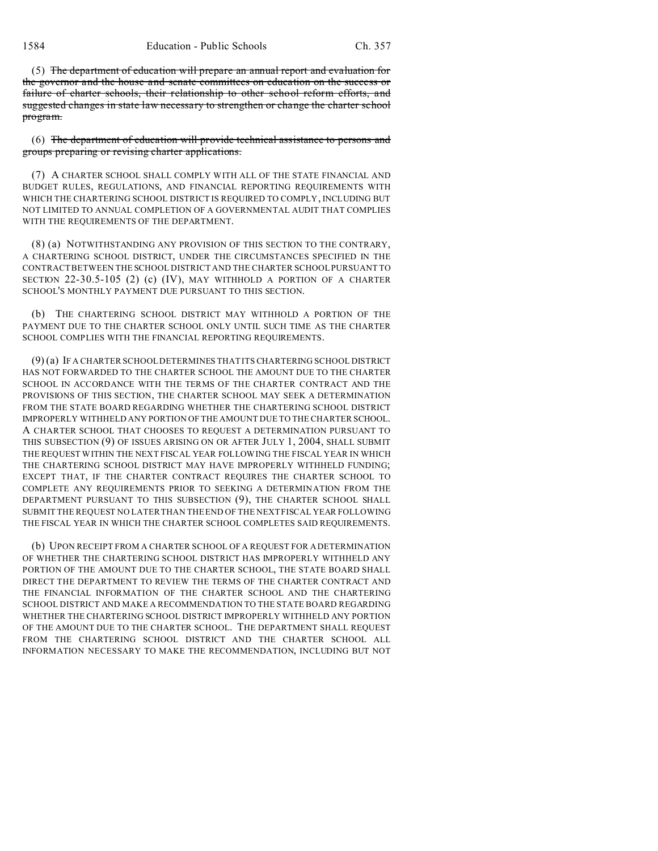(5) The department of education will prepare an annual report and evaluation for the governor and the house and senate committees on education on the success or failure of charter schools, their relationship to other school reform efforts, and suggested changes in state law necessary to strengthen or change the charter school program.

(6) The department of education will provide technical assistance to persons and groups preparing or revising charter applications.

(7) A CHARTER SCHOOL SHALL COMPLY WITH ALL OF THE STATE FINANCIAL AND BUDGET RULES, REGULATIONS, AND FINANCIAL REPORTING REQUIREMENTS WITH WHICH THE CHARTERING SCHOOL DISTRICT IS REQUIRED TO COMPLY, INCLUDING BUT NOT LIMITED TO ANNUAL COMPLETION OF A GOVERNMENTAL AUDIT THAT COMPLIES WITH THE REQUIREMENTS OF THE DEPARTMENT.

(8) (a) NOTWITHSTANDING ANY PROVISION OF THIS SECTION TO THE CONTRARY, A CHARTERING SCHOOL DISTRICT, UNDER THE CIRCUMSTANCES SPECIFIED IN THE CONTRACT BETWEEN THE SCHOOL DISTRICT AND THE CHARTER SCHOOL PURSUANT TO SECTION 22-30.5-105 (2) (c) (IV), MAY WITHHOLD A PORTION OF A CHARTER SCHOOL'S MONTHLY PAYMENT DUE PURSUANT TO THIS SECTION.

(b) THE CHARTERING SCHOOL DISTRICT MAY WITHHOLD A PORTION OF THE PAYMENT DUE TO THE CHARTER SCHOOL ONLY UNTIL SUCH TIME AS THE CHARTER SCHOOL COMPLIES WITH THE FINANCIAL REPORTING REQUIREMENTS.

(9) (a) IF A CHARTER SCHOOL DETERMINES THAT ITS CHARTERING SCHOOL DISTRICT HAS NOT FORWARDED TO THE CHARTER SCHOOL THE AMOUNT DUE TO THE CHARTER SCHOOL IN ACCORDANCE WITH THE TERMS OF THE CHARTER CONTRACT AND THE PROVISIONS OF THIS SECTION, THE CHARTER SCHOOL MAY SEEK A DETERMINATION FROM THE STATE BOARD REGARDING WHETHER THE CHARTERING SCHOOL DISTRICT IMPROPERLY WITHHELD ANY PORTION OF THE AMOUNT DUE TO THE CHARTER SCHOOL. A CHARTER SCHOOL THAT CHOOSES TO REQUEST A DETERMINATION PURSUANT TO THIS SUBSECTION (9) OF ISSUES ARISING ON OR AFTER JULY 1, 2004, SHALL SUBMIT THE REQUEST WITHIN THE NEXT FISCAL YEAR FOLLOWING THE FISCAL YEAR IN WHICH THE CHARTERING SCHOOL DISTRICT MAY HAVE IMPROPERLY WITHHELD FUNDING; EXCEPT THAT, IF THE CHARTER CONTRACT REQUIRES THE CHARTER SCHOOL TO COMPLETE ANY REQUIREMENTS PRIOR TO SEEKING A DETERMINATION FROM THE DEPARTMENT PURSUANT TO THIS SUBSECTION (9), THE CHARTER SCHOOL SHALL SUBMIT THE REQUEST NO LATER THAN THE END OF THE NEXT FISCAL YEAR FOLLOWING THE FISCAL YEAR IN WHICH THE CHARTER SCHOOL COMPLETES SAID REQUIREMENTS.

(b) UPON RECEIPT FROM A CHARTER SCHOOL OF A REQUEST FOR A DETERMINATION OF WHETHER THE CHARTERING SCHOOL DISTRICT HAS IMPROPERLY WITHHELD ANY PORTION OF THE AMOUNT DUE TO THE CHARTER SCHOOL, THE STATE BOARD SHALL DIRECT THE DEPARTMENT TO REVIEW THE TERMS OF THE CHARTER CONTRACT AND THE FINANCIAL INFORMATION OF THE CHARTER SCHOOL AND THE CHARTERING SCHOOL DISTRICT AND MAKE A RECOMMENDATION TO THE STATE BOARD REGARDING WHETHER THE CHARTERING SCHOOL DISTRICT IMPROPERLY WITHHELD ANY PORTION OF THE AMOUNT DUE TO THE CHARTER SCHOOL. THE DEPARTMENT SHALL REQUEST FROM THE CHARTERING SCHOOL DISTRICT AND THE CHARTER SCHOOL ALL INFORMATION NECESSARY TO MAKE THE RECOMMENDATION, INCLUDING BUT NOT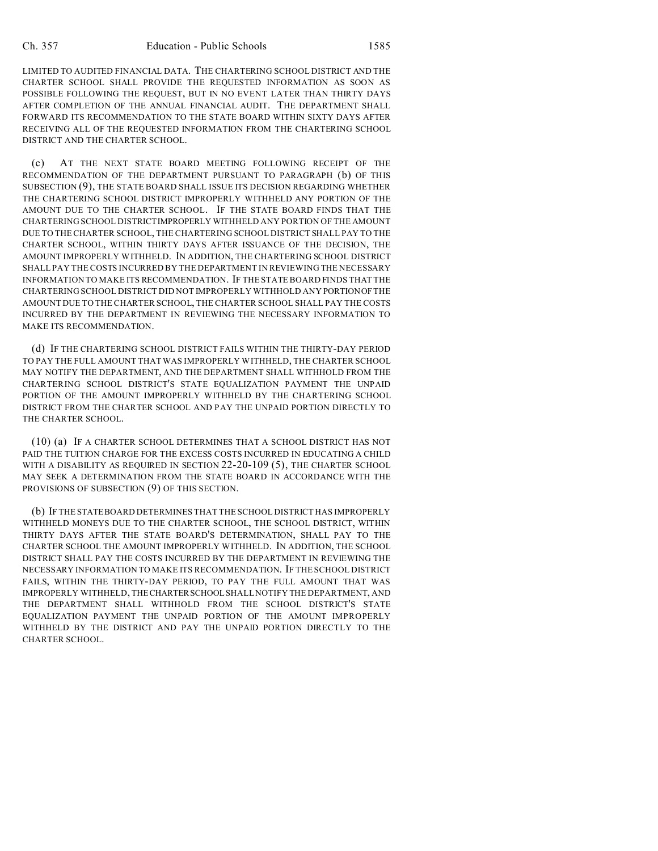LIMITED TO AUDITED FINANCIAL DATA. THE CHARTERING SCHOOL DISTRICT AND THE CHARTER SCHOOL SHALL PROVIDE THE REQUESTED INFORMATION AS SOON AS POSSIBLE FOLLOWING THE REQUEST, BUT IN NO EVENT LATER THAN THIRTY DAYS AFTER COMPLETION OF THE ANNUAL FINANCIAL AUDIT. THE DEPARTMENT SHALL FORWARD ITS RECOMMENDATION TO THE STATE BOARD WITHIN SIXTY DAYS AFTER RECEIVING ALL OF THE REQUESTED INFORMATION FROM THE CHARTERING SCHOOL DISTRICT AND THE CHARTER SCHOOL.

(c) AT THE NEXT STATE BOARD MEETING FOLLOWING RECEIPT OF THE RECOMMENDATION OF THE DEPARTMENT PURSUANT TO PARAGRAPH (b) OF THIS SUBSECTION (9), THE STATE BOARD SHALL ISSUE ITS DECISION REGARDING WHETHER THE CHARTERING SCHOOL DISTRICT IMPROPERLY WITHHELD ANY PORTION OF THE AMOUNT DUE TO THE CHARTER SCHOOL. IF THE STATE BOARD FINDS THAT THE CHARTERING SCHOOL DISTRICTIMPROPERLY WITHHELD ANY PORTION OF THE AMOUNT DUE TO THE CHARTER SCHOOL, THE CHARTERING SCHOOL DISTRICT SHALL PAY TO THE CHARTER SCHOOL, WITHIN THIRTY DAYS AFTER ISSUANCE OF THE DECISION, THE AMOUNT IMPROPERLY WITHHELD. IN ADDITION, THE CHARTERING SCHOOL DISTRICT SHALL PAY THE COSTS INCURRED BY THE DEPARTMENT IN REVIEWING THE NECESSARY INFORMATION TO MAKE ITS RECOMMENDATION. IF THE STATE BOARD FINDS THAT THE CHARTERING SCHOOL DISTRICT DID NOT IMPROPERLY WITHHOLD ANY PORTIONOF THE AMOUNT DUE TO THE CHARTER SCHOOL, THE CHARTER SCHOOL SHALL PAY THE COSTS INCURRED BY THE DEPARTMENT IN REVIEWING THE NECESSARY INFORMATION TO MAKE ITS RECOMMENDATION.

(d) IF THE CHARTERING SCHOOL DISTRICT FAILS WITHIN THE THIRTY-DAY PERIOD TO PAY THE FULL AMOUNT THAT WAS IMPROPERLY WITHHELD, THE CHARTER SCHOOL MAY NOTIFY THE DEPARTMENT, AND THE DEPARTMENT SHALL WITHHOLD FROM THE CHARTERING SCHOOL DISTRICT'S STATE EQUALIZATION PAYMENT THE UNPAID PORTION OF THE AMOUNT IMPROPERLY WITHHELD BY THE CHARTERING SCHOOL DISTRICT FROM THE CHARTER SCHOOL AND PAY THE UNPAID PORTION DIRECTLY TO THE CHARTER SCHOOL.

(10) (a) IF A CHARTER SCHOOL DETERMINES THAT A SCHOOL DISTRICT HAS NOT PAID THE TUITION CHARGE FOR THE EXCESS COSTS INCURRED IN EDUCATING A CHILD WITH A DISABILITY AS REQUIRED IN SECTION 22-20-109 (5), THE CHARTER SCHOOL MAY SEEK A DETERMINATION FROM THE STATE BOARD IN ACCORDANCE WITH THE PROVISIONS OF SUBSECTION (9) OF THIS SECTION.

(b) IF THE STATEBOARD DETERMINES THAT THE SCHOOL DISTRICT HAS IMPROPERLY WITHHELD MONEYS DUE TO THE CHARTER SCHOOL, THE SCHOOL DISTRICT, WITHIN THIRTY DAYS AFTER THE STATE BOARD'S DETERMINATION, SHALL PAY TO THE CHARTER SCHOOL THE AMOUNT IMPROPERLY WITHHELD. IN ADDITION, THE SCHOOL DISTRICT SHALL PAY THE COSTS INCURRED BY THE DEPARTMENT IN REVIEWING THE NECESSARY INFORMATION TO MAKE ITS RECOMMENDATION. IF THE SCHOOL DISTRICT FAILS, WITHIN THE THIRTY-DAY PERIOD, TO PAY THE FULL AMOUNT THAT WAS IMPROPERLY WITHHELD, THECHARTERSCHOOL SHALL NOTIFY THE DEPARTMENT, AND THE DEPARTMENT SHALL WITHHOLD FROM THE SCHOOL DISTRICT'S STATE EQUALIZATION PAYMENT THE UNPAID PORTION OF THE AMOUNT IMPROPERLY WITHHELD BY THE DISTRICT AND PAY THE UNPAID PORTION DIRECTLY TO THE CHARTER SCHOOL.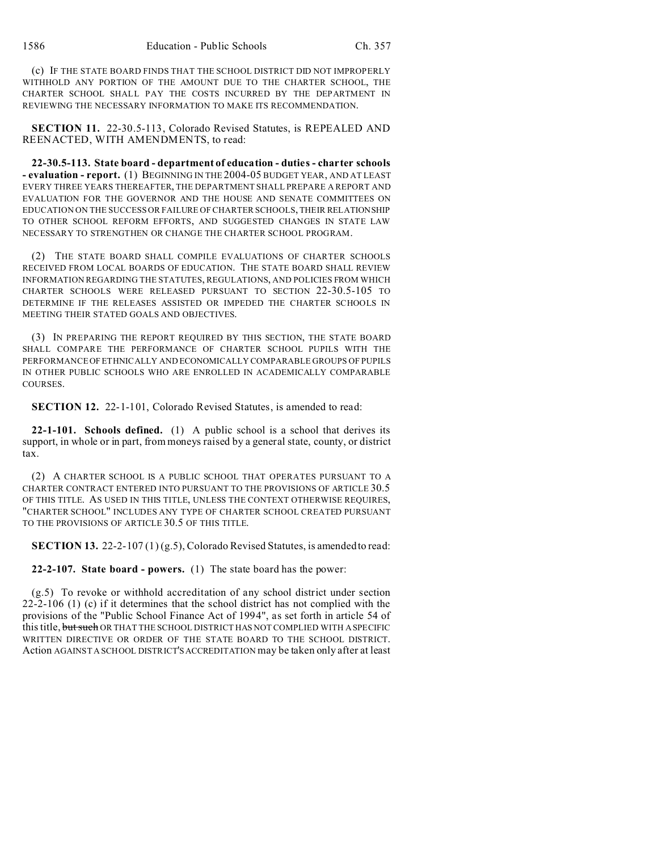(c) IF THE STATE BOARD FINDS THAT THE SCHOOL DISTRICT DID NOT IMPROPERLY WITHHOLD ANY PORTION OF THE AMOUNT DUE TO THE CHARTER SCHOOL, THE CHARTER SCHOOL SHALL PAY THE COSTS INCURRED BY THE DEPARTMENT IN REVIEWING THE NECESSARY INFORMATION TO MAKE ITS RECOMMENDATION.

**SECTION 11.** 22-30.5-113, Colorado Revised Statutes, is REPEALED AND REENACTED, WITH AMENDMENTS, to read:

**22-30.5-113. State board - department of education - duties - charter schools - evaluation - report.** (1) BEGINNING IN THE 2004-05 BUDGET YEAR, AND AT LEAST EVERY THREE YEARS THEREAFTER, THE DEPARTMENT SHALL PREPARE A REPORT AND EVALUATION FOR THE GOVERNOR AND THE HOUSE AND SENATE COMMITTEES ON EDUCATION ON THE SUCCESS OR FAILURE OF CHARTER SCHOOLS, THEIR RELATIONSHIP TO OTHER SCHOOL REFORM EFFORTS, AND SUGGESTED CHANGES IN STATE LAW NECESSARY TO STRENGTHEN OR CHANGE THE CHARTER SCHOOL PROGRAM.

(2) THE STATE BOARD SHALL COMPILE EVALUATIONS OF CHARTER SCHOOLS RECEIVED FROM LOCAL BOARDS OF EDUCATION. THE STATE BOARD SHALL REVIEW INFORMATION REGARDING THE STATUTES, REGULATIONS, AND POLICIES FROM WHICH CHARTER SCHOOLS WERE RELEASED PURSUANT TO SECTION 22-30.5-105 TO DETERMINE IF THE RELEASES ASSISTED OR IMPEDED THE CHARTER SCHOOLS IN MEETING THEIR STATED GOALS AND OBJECTIVES.

(3) IN PREPARING THE REPORT REQUIRED BY THIS SECTION, THE STATE BOARD SHALL COMPARE THE PERFORMANCE OF CHARTER SCHOOL PUPILS WITH THE PERFORMANCE OF ETHNICALLY AND ECONOMICALLY COMPARABLE GROUPS OF PUPILS IN OTHER PUBLIC SCHOOLS WHO ARE ENROLLED IN ACADEMICALLY COMPARABLE COURSES.

**SECTION 12.** 22-1-101, Colorado Revised Statutes, is amended to read:

**22-1-101. Schools defined.** (1) A public school is a school that derives its support, in whole or in part, from moneys raised by a general state, county, or district tax.

(2) A CHARTER SCHOOL IS A PUBLIC SCHOOL THAT OPERATES PURSUANT TO A CHARTER CONTRACT ENTERED INTO PURSUANT TO THE PROVISIONS OF ARTICLE 30.5 OF THIS TITLE. AS USED IN THIS TITLE, UNLESS THE CONTEXT OTHERWISE REQUIRES, "CHARTER SCHOOL" INCLUDES ANY TYPE OF CHARTER SCHOOL CREATED PURSUANT TO THE PROVISIONS OF ARTICLE 30.5 OF THIS TITLE.

**SECTION 13.** 22-2-107 (1) (g.5), Colorado Revised Statutes, is amended to read:

**22-2-107. State board - powers.** (1) The state board has the power:

(g.5) To revoke or withhold accreditation of any school district under section 22-2-106 (1) (c) if it determines that the school district has not complied with the provisions of the "Public School Finance Act of 1994", as set forth in article 54 of this title, but such OR THAT THE SCHOOL DISTRICT HAS NOT COMPLIED WITH A SPECIFIC WRITTEN DIRECTIVE OR ORDER OF THE STATE BOARD TO THE SCHOOL DISTRICT. Action AGAINST A SCHOOL DISTRICT'SACCREDITATION may be taken only after at least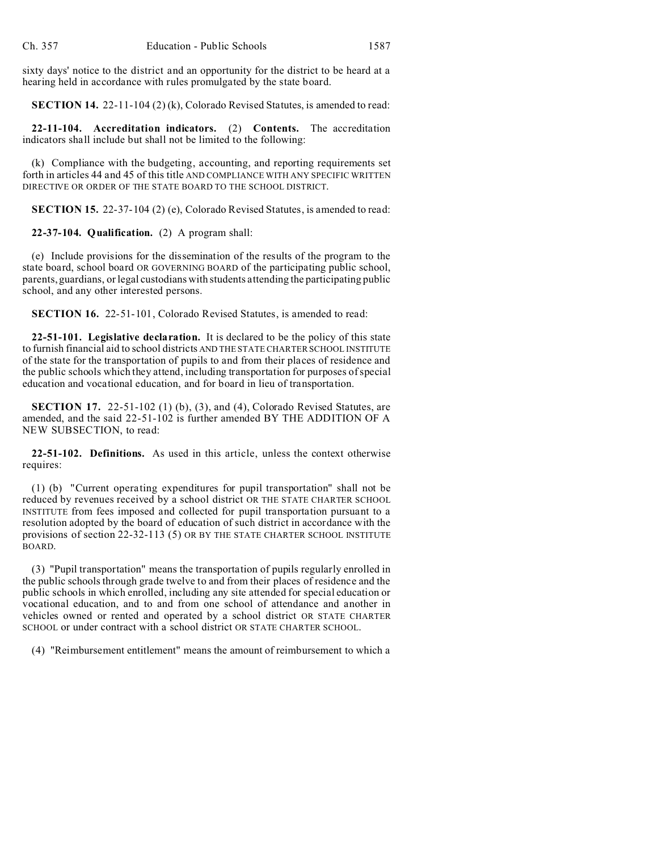sixty days' notice to the district and an opportunity for the district to be heard at a hearing held in accordance with rules promulgated by the state board.

**SECTION 14.** 22-11-104 (2) (k), Colorado Revised Statutes, is amended to read:

**22-11-104. Accreditation indicators.** (2) **Contents.** The accreditation indicators shall include but shall not be limited to the following:

(k) Compliance with the budgeting, accounting, and reporting requirements set forth in articles 44 and 45 of this title AND COMPLIANCE WITH ANY SPECIFIC WRITTEN DIRECTIVE OR ORDER OF THE STATE BOARD TO THE SCHOOL DISTRICT.

**SECTION 15.** 22-37-104 (2) (e), Colorado Revised Statutes, is amended to read:

**22-37-104. Qualification.** (2) A program shall:

(e) Include provisions for the dissemination of the results of the program to the state board, school board OR GOVERNING BOARD of the participating public school, parents, guardians, or legal custodians with students attending the participating public school, and any other interested persons.

**SECTION 16.** 22-51-101, Colorado Revised Statutes, is amended to read:

**22-51-101. Legislative declaration.** It is declared to be the policy of this state to furnish financial aid to school districts AND THE STATE CHARTER SCHOOL INSTITUTE of the state for the transportation of pupils to and from their places of residence and the public schools which they attend, including transportation for purposes of special education and vocational education, and for board in lieu of transportation.

**SECTION 17.** 22-51-102 (1) (b), (3), and (4), Colorado Revised Statutes, are amended, and the said 22-51-102 is further amended BY THE ADDITION OF A NEW SUBSECTION, to read:

**22-51-102. Definitions.** As used in this article, unless the context otherwise requires:

(1) (b) "Current operating expenditures for pupil transportation" shall not be reduced by revenues received by a school district OR THE STATE CHARTER SCHOOL INSTITUTE from fees imposed and collected for pupil transportation pursuant to a resolution adopted by the board of education of such district in accordance with the provisions of section 22-32-113 (5) OR BY THE STATE CHARTER SCHOOL INSTITUTE BOARD.

(3) "Pupil transportation" means the transportation of pupils regularly enrolled in the public schools through grade twelve to and from their places of residence and the public schools in which enrolled, including any site attended for special education or vocational education, and to and from one school of attendance and another in vehicles owned or rented and operated by a school district OR STATE CHARTER SCHOOL or under contract with a school district OR STATE CHARTER SCHOOL.

(4) "Reimbursement entitlement" means the amount of reimbursement to which a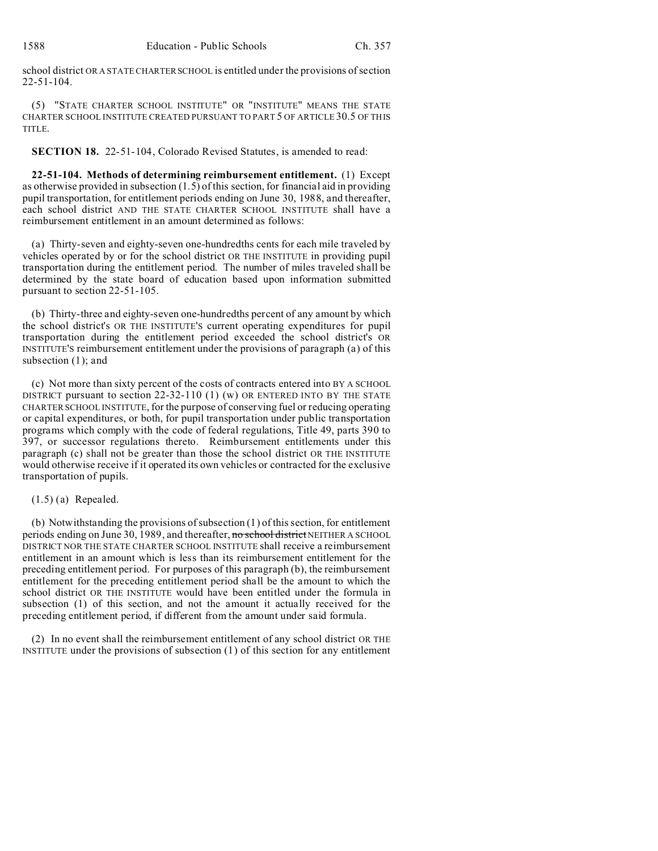school district OR A STATE CHARTERSCHOOL is entitled under the provisions of section 22-51-104.

(5) "STATE CHARTER SCHOOL INSTITUTE" OR "INSTITUTE" MEANS THE STATE CHARTER SCHOOL INSTITUTE CREATED PURSUANT TO PART 5 OF ARTICLE 30.5 OF THIS TITLE.

**SECTION 18.** 22-51-104, Colorado Revised Statutes, is amended to read:

**22-51-104. Methods of determining reimbursement entitlement.** (1) Except as otherwise provided in subsection (1.5) of this section, for financial aid in providing pupil transportation, for entitlement periods ending on June 30, 1988, and thereafter, each school district AND THE STATE CHARTER SCHOOL INSTITUTE shall have a reimbursement entitlement in an amount determined as follows:

(a) Thirty-seven and eighty-seven one-hundredths cents for each mile traveled by vehicles operated by or for the school district OR THE INSTITUTE in providing pupil transportation during the entitlement period. The number of miles traveled shall be determined by the state board of education based upon information submitted pursuant to section 22-51-105.

(b) Thirty-three and eighty-seven one-hundredths percent of any amount by which the school district's OR THE INSTITUTE'S current operating expenditures for pupil transportation during the entitlement period exceeded the school district's OR INSTITUTE'S reimbursement entitlement under the provisions of paragraph (a) of this subsection (1); and

(c) Not more than sixty percent of the costs of contracts entered into BY A SCHOOL DISTRICT pursuant to section 22-32-110 (1) (w) OR ENTERED INTO BY THE STATE CHARTER SCHOOL INSTITUTE, for the purpose of conserving fuel or reducing operating or capital expenditures, or both, for pupil transportation under public transportation programs which comply with the code of federal regulations, Title 49, parts 390 to 397, or successor regulations thereto. Reimbursement entitlements under this paragraph (c) shall not be greater than those the school district OR THE INSTITUTE would otherwise receive if it operated its own vehicles or contracted for the exclusive transportation of pupils.

### (1.5) (a) Repealed.

(b) Notwithstanding the provisions of subsection (1) of this section, for entitlement periods ending on June 30, 1989, and thereafter, no school district NEITHER A SCHOOL DISTRICT NOR THE STATE CHARTER SCHOOL INSTITUTE shall receive a reimbursement entitlement in an amount which is less than its reimbursement entitlement for the preceding entitlement period. For purposes of this paragraph (b), the reimbursement entitlement for the preceding entitlement period shall be the amount to which the school district OR THE INSTITUTE would have been entitled under the formula in subsection (1) of this section, and not the amount it actually received for the preceding entitlement period, if different from the amount under said formula.

(2) In no event shall the reimbursement entitlement of any school district OR THE INSTITUTE under the provisions of subsection (1) of this section for any entitlement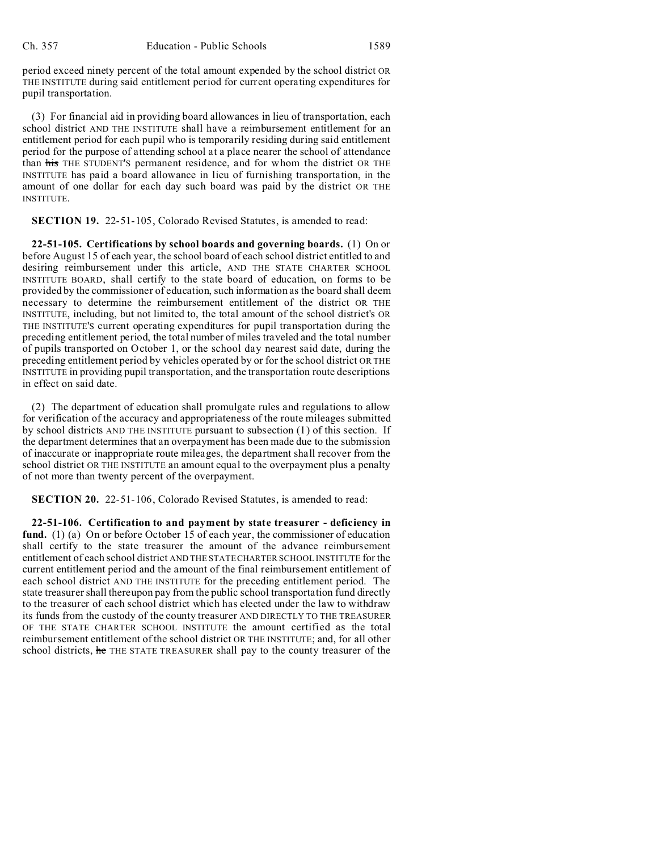period exceed ninety percent of the total amount expended by the school district OR THE INSTITUTE during said entitlement period for current operating expenditures for pupil transportation.

(3) For financial aid in providing board allowances in lieu of transportation, each school district AND THE INSTITUTE shall have a reimbursement entitlement for an entitlement period for each pupil who is temporarily residing during said entitlement period for the purpose of attending school at a place nearer the school of attendance than his THE STUDENT'S permanent residence, and for whom the district OR THE INSTITUTE has paid a board allowance in lieu of furnishing transportation, in the amount of one dollar for each day such board was paid by the district OR THE INSTITUTE.

**SECTION 19.** 22-51-105, Colorado Revised Statutes, is amended to read:

**22-51-105. Certifications by school boards and governing boards.** (1) On or before August 15 of each year, the school board of each school district entitled to and desiring reimbursement under this article, AND THE STATE CHARTER SCHOOL INSTITUTE BOARD, shall certify to the state board of education, on forms to be provided by the commissioner of education, such information as the board shall deem necessary to determine the reimbursement entitlement of the district OR THE INSTITUTE, including, but not limited to, the total amount of the school district's OR THE INSTITUTE'S current operating expenditures for pupil transportation during the preceding entitlement period, the total number of miles traveled and the total number of pupils transported on October 1, or the school day nearest said date, during the preceding entitlement period by vehicles operated by or for the school district OR THE INSTITUTE in providing pupil transportation, and the transportation route descriptions in effect on said date.

(2) The department of education shall promulgate rules and regulations to allow for verification of the accuracy and appropriateness of the route mileages submitted by school districts AND THE INSTITUTE pursuant to subsection (1) of this section. If the department determines that an overpayment has been made due to the submission of inaccurate or inappropriate route mileages, the department shall recover from the school district OR THE INSTITUTE an amount equal to the overpayment plus a penalty of not more than twenty percent of the overpayment.

**SECTION 20.** 22-51-106, Colorado Revised Statutes, is amended to read:

**22-51-106. Certification to and payment by state treasurer - deficiency in fund.** (1) (a) On or before October 15 of each year, the commissioner of education shall certify to the state treasurer the amount of the advance reimbursement entitlement of each school district AND THE STATE CHARTER SCHOOL INSTITUTE for the current entitlement period and the amount of the final reimbursement entitlement of each school district AND THE INSTITUTE for the preceding entitlement period. The state treasurer shall thereupon pay from the public school transportation fund directly to the treasurer of each school district which has elected under the law to withdraw its funds from the custody of the county treasurer AND DIRECTLY TO THE TREASURER OF THE STATE CHARTER SCHOOL INSTITUTE the amount certified as the total reimbursement entitlement of the school district OR THE INSTITUTE; and, for all other school districts, he THE STATE TREASURER shall pay to the county treasurer of the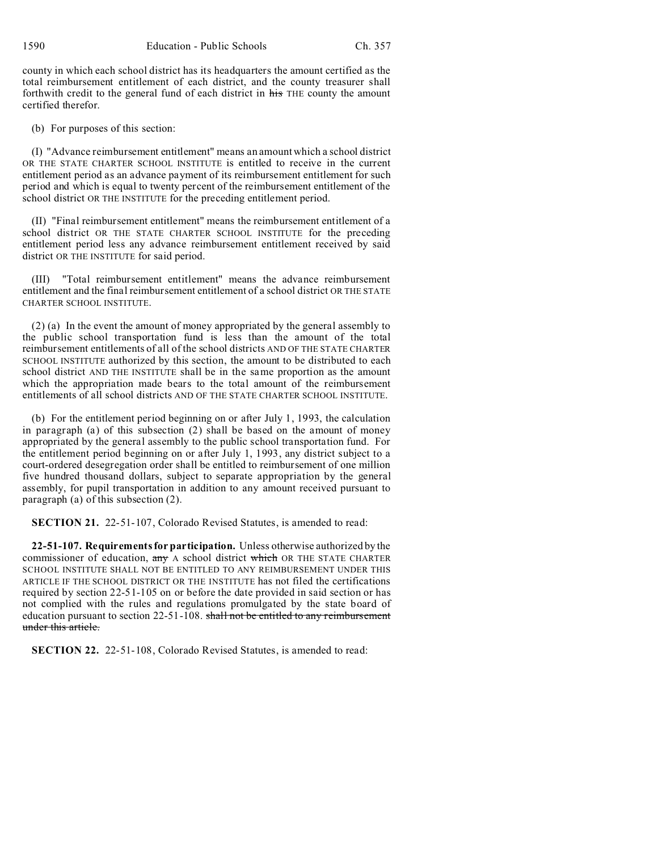county in which each school district has its headquarters the amount certified as the total reimbursement entitlement of each district, and the county treasurer shall forthwith credit to the general fund of each district in his THE county the amount certified therefor.

(b) For purposes of this section:

(I) "Advance reimbursement entitlement" means an amount which a school district OR THE STATE CHARTER SCHOOL INSTITUTE is entitled to receive in the current entitlement period as an advance payment of its reimbursement entitlement for such period and which is equal to twenty percent of the reimbursement entitlement of the school district OR THE INSTITUTE for the preceding entitlement period.

(II) "Final reimbursement entitlement" means the reimbursement entitlement of a school district OR THE STATE CHARTER SCHOOL INSTITUTE for the preceding entitlement period less any advance reimbursement entitlement received by said district OR THE INSTITUTE for said period.

(III) "Total reimbursement entitlement" means the advance reimbursement entitlement and the final reimbursement entitlement of a school district OR THE STATE CHARTER SCHOOL INSTITUTE.

(2) (a) In the event the amount of money appropriated by the general assembly to the public school transportation fund is less than the amount of the total reimbursement entitlements of all of the school districts AND OF THE STATE CHARTER SCHOOL INSTITUTE authorized by this section, the amount to be distributed to each school district AND THE INSTITUTE shall be in the same proportion as the amount which the appropriation made bears to the total amount of the reimbursement entitlements of all school districts AND OF THE STATE CHARTER SCHOOL INSTITUTE.

(b) For the entitlement period beginning on or after July 1, 1993, the calculation in paragraph (a) of this subsection (2) shall be based on the amount of money appropriated by the general assembly to the public school transportation fund. For the entitlement period beginning on or after July 1, 1993, any district subject to a court-ordered desegregation order shall be entitled to reimbursement of one million five hundred thousand dollars, subject to separate appropriation by the general assembly, for pupil transportation in addition to any amount received pursuant to paragraph (a) of this subsection (2).

**SECTION 21.** 22-51-107, Colorado Revised Statutes, is amended to read:

**22-51-107. Requirements for participation.** Unless otherwise authorized by the commissioner of education,  $\frac{1}{\text{any}}$  A school district which OR THE STATE CHARTER SCHOOL INSTITUTE SHALL NOT BE ENTITLED TO ANY REIMBURSEMENT UNDER THIS ARTICLE IF THE SCHOOL DISTRICT OR THE INSTITUTE has not filed the certifications required by section 22-51-105 on or before the date provided in said section or has not complied with the rules and regulations promulgated by the state board of education pursuant to section 22-51-108. shall not be entitled to any reimbursement under this article.

**SECTION 22.** 22-51-108, Colorado Revised Statutes, is amended to read: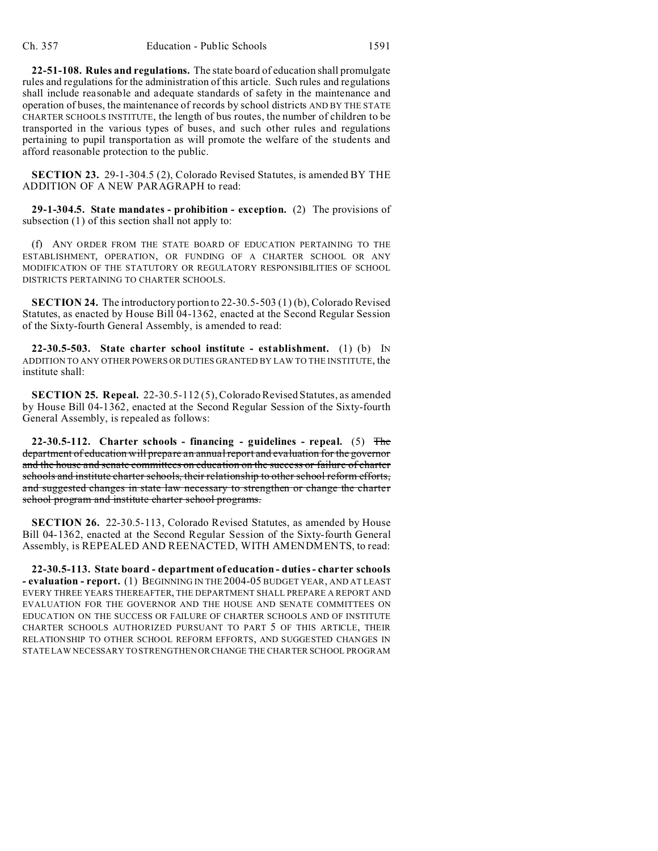**22-51-108. Rules and regulations.** The state board of education shall promulgate rules and regulations for the administration of this article. Such rules and regulations shall include reasonable and adequate standards of safety in the maintenance and operation of buses, the maintenance of records by school districts AND BY THE STATE CHARTER SCHOOLS INSTITUTE, the length of bus routes, the number of children to be transported in the various types of buses, and such other rules and regulations pertaining to pupil transportation as will promote the welfare of the students and afford reasonable protection to the public.

**SECTION 23.** 29-1-304.5 (2), Colorado Revised Statutes, is amended BY THE ADDITION OF A NEW PARAGRAPH to read:

**29-1-304.5. State mandates - prohibition - exception.** (2) The provisions of subsection (1) of this section shall not apply to:

(f) ANY ORDER FROM THE STATE BOARD OF EDUCATION PERTAINING TO THE ESTABLISHMENT, OPERATION, OR FUNDING OF A CHARTER SCHOOL OR ANY MODIFICATION OF THE STATUTORY OR REGULATORY RESPONSIBILITIES OF SCHOOL DISTRICTS PERTAINING TO CHARTER SCHOOLS.

**SECTION 24.** The introductory portion to 22-30.5-503 (1) (b), Colorado Revised Statutes, as enacted by House Bill 04-1362, enacted at the Second Regular Session of the Sixty-fourth General Assembly, is amended to read:

**22-30.5-503. State charter school institute - establishment.** (1) (b) IN ADDITION TO ANY OTHER POWERS OR DUTIES GRANTED BY LAW TO THE INSTITUTE, the institute shall:

**SECTION 25. Repeal.** 22-30.5-112 (5), Colorado Revised Statutes, as amended by House Bill 04-1362, enacted at the Second Regular Session of the Sixty-fourth General Assembly, is repealed as follows:

**22-30.5-112. Charter schools - financing - guidelines - repeal.** (5) The department of education will prepare an annual report and evaluation for the governor and the house and senate committees on education on the success or failure of charter schools and institute charter schools, their relationship to other school reform efforts, and suggested changes in state law necessary to strengthen or change the charter school program and institute charter school programs.

**SECTION 26.** 22-30.5-113, Colorado Revised Statutes, as amended by House Bill 04-1362, enacted at the Second Regular Session of the Sixty-fourth General Assembly, is REPEALED AND REENACTED, WITH AMENDMENTS, to read:

**22-30.5-113. State board - department of education - duties - charter schools - evaluation - report.** (1) BEGINNING IN THE 2004-05 BUDGET YEAR, AND AT LEAST EVERY THREE YEARS THEREAFTER, THE DEPARTMENT SHALL PREPARE A REPORT AND EVALUATION FOR THE GOVERNOR AND THE HOUSE AND SENATE COMMITTEES ON EDUCATION ON THE SUCCESS OR FAILURE OF CHARTER SCHOOLS AND OF INSTITUTE CHARTER SCHOOLS AUTHORIZED PURSUANT TO PART 5 OF THIS ARTICLE, THEIR RELATIONSHIP TO OTHER SCHOOL REFORM EFFORTS, AND SUGGESTED CHANGES IN STATE LAW NECESSARY TO STRENGTHEN ORCHANGE THE CHARTER SCHOOL PROGRAM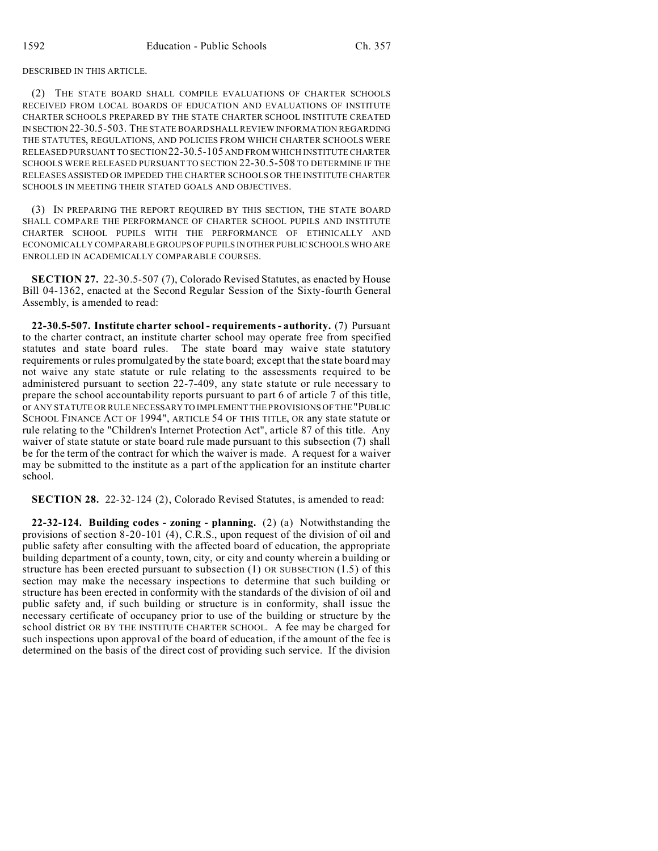#### DESCRIBED IN THIS ARTICLE.

(2) THE STATE BOARD SHALL COMPILE EVALUATIONS OF CHARTER SCHOOLS RECEIVED FROM LOCAL BOARDS OF EDUCATION AND EVALUATIONS OF INSTITUTE CHARTER SCHOOLS PREPARED BY THE STATE CHARTER SCHOOL INSTITUTE CREATED IN SECTION 22-30.5-503. THE STATE BOARD SHALL REVIEW INFORMATION REGARDING THE STATUTES, REGULATIONS, AND POLICIES FROM WHICH CHARTER SCHOOLS WERE RELEASED PURSUANT TO SECTION 22-30.5-105 AND FROM WHICH INSTITUTE CHARTER SCHOOLS WERE RELEASED PURSUANT TO SECTION 22-30.5-508 TO DETERMINE IF THE RELEASES ASSISTED OR IMPEDED THE CHARTER SCHOOLS OR THE INSTITUTE CHARTER SCHOOLS IN MEETING THEIR STATED GOALS AND OBJECTIVES.

(3) IN PREPARING THE REPORT REQUIRED BY THIS SECTION, THE STATE BOARD SHALL COMPARE THE PERFORMANCE OF CHARTER SCHOOL PUPILS AND INSTITUTE CHARTER SCHOOL PUPILS WITH THE PERFORMANCE OF ETHNICALLY AND ECONOMICALLY COMPARABLE GROUPS OF PUPILS IN OTHER PUBLIC SCHOOLS WHO ARE ENROLLED IN ACADEMICALLY COMPARABLE COURSES.

**SECTION 27.** 22-30.5-507 (7), Colorado Revised Statutes, as enacted by House Bill 04-1362, enacted at the Second Regular Session of the Sixty-fourth General Assembly, is amended to read:

**22-30.5-507. Institute charter school - requirements - authority.** (7) Pursuant to the charter contract, an institute charter school may operate free from specified statutes and state board rules. The state board may waive state statutory requirements or rules promulgated by the state board; except that the state board may not waive any state statute or rule relating to the assessments required to be administered pursuant to section 22-7-409, any state statute or rule necessary to prepare the school accountability reports pursuant to part 6 of article 7 of this title, or ANY STATUTE OR RULE NECESSARYTO IMPLEMENT THE PROVISIONS OF THE "PUBLIC SCHOOL FINANCE ACT OF 1994", ARTICLE 54 OF THIS TITLE, OR any state statute or rule relating to the "Children's Internet Protection Act", article 87 of this title. Any waiver of state statute or state board rule made pursuant to this subsection (7) shall be for the term of the contract for which the waiver is made. A request for a waiver may be submitted to the institute as a part of the application for an institute charter school.

**SECTION 28.** 22-32-124 (2), Colorado Revised Statutes, is amended to read:

**22-32-124. Building codes - zoning - planning.** (2) (a) Notwithstanding the provisions of section 8-20-101 (4), C.R.S., upon request of the division of oil and public safety after consulting with the affected board of education, the appropriate building department of a county, town, city, or city and county wherein a building or structure has been erected pursuant to subsection (1) OR SUBSECTION (1.5) of this section may make the necessary inspections to determine that such building or structure has been erected in conformity with the standards of the division of oil and public safety and, if such building or structure is in conformity, shall issue the necessary certificate of occupancy prior to use of the building or structure by the school district OR BY THE INSTITUTE CHARTER SCHOOL. A fee may be charged for such inspections upon approval of the board of education, if the amount of the fee is determined on the basis of the direct cost of providing such service. If the division